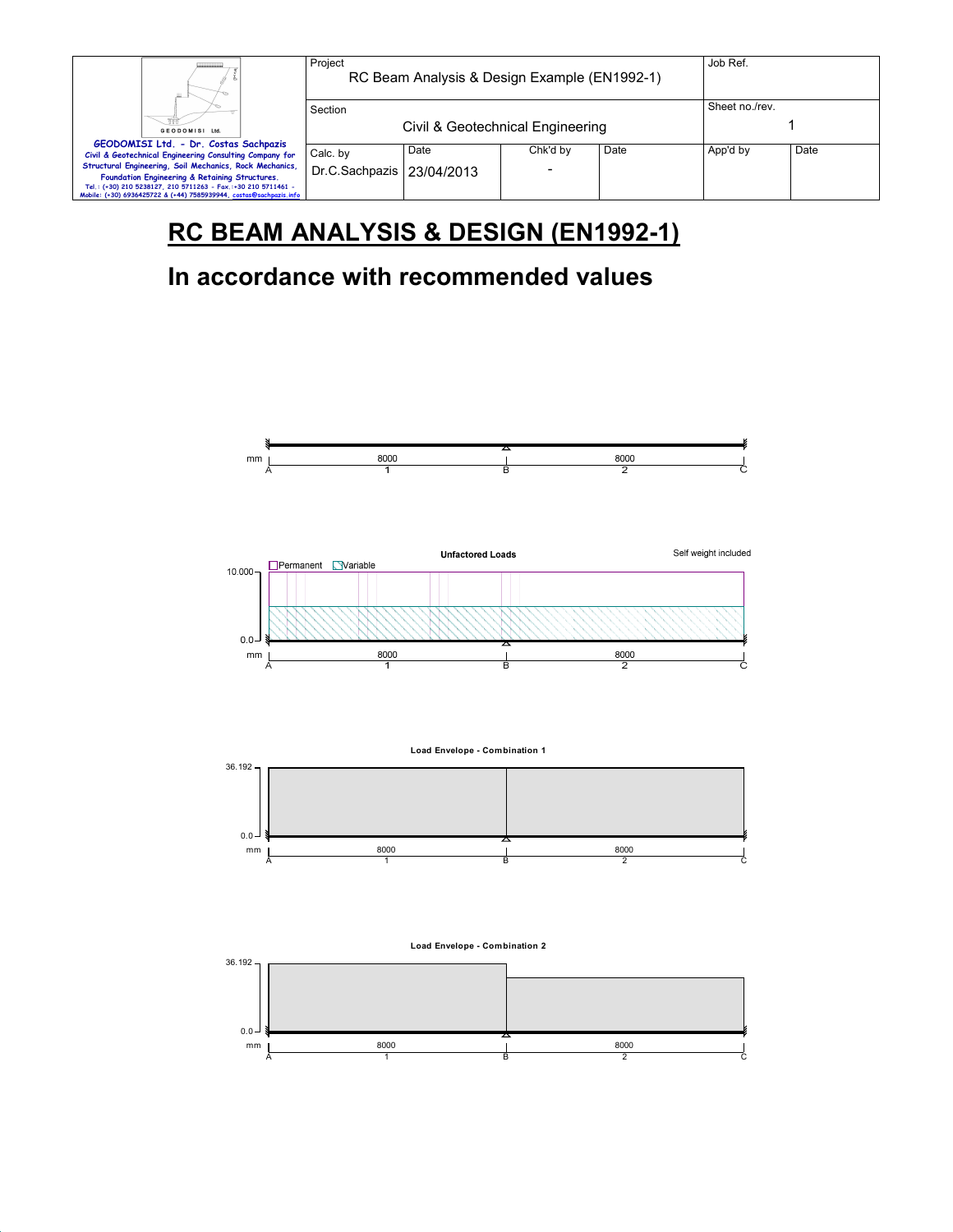| ш.                                                                                                                                                                                                                                               | Project<br>RC Beam Analysis & Design Example (EN1992-1) | Job Ref.                         |                |      |          |      |
|--------------------------------------------------------------------------------------------------------------------------------------------------------------------------------------------------------------------------------------------------|---------------------------------------------------------|----------------------------------|----------------|------|----------|------|
| GEODOMISI Ltd.                                                                                                                                                                                                                                   | Section                                                 | Civil & Geotechnical Engineering | Sheet no./rev. |      |          |      |
| GEODOMISI Ltd. - Dr. Costas Sachpazis<br>Civil & Geotechnical Engineering Consulting Company for                                                                                                                                                 | Calc. by                                                | Date                             | Chk'd by       | Date | App'd by | Date |
| Structural Engineering, Soil Mechanics, Rock Mechanics,<br>Foundation Engineering & Retaining Structures.<br>Tel.: (+30) 210 5238127, 210 5711263 - Fax.:+30 210 5711461 -<br>Mobile: (+30) 6936425722 & (+44) 7585939944, costas@sachpazis.info | Dr.C.Sachpazis   23/04/2013                             |                                  | -              |      |          |      |

# **RC BEAM ANALYSIS & DESIGN (EN1992-1)**

# **In accordance with recommended values**





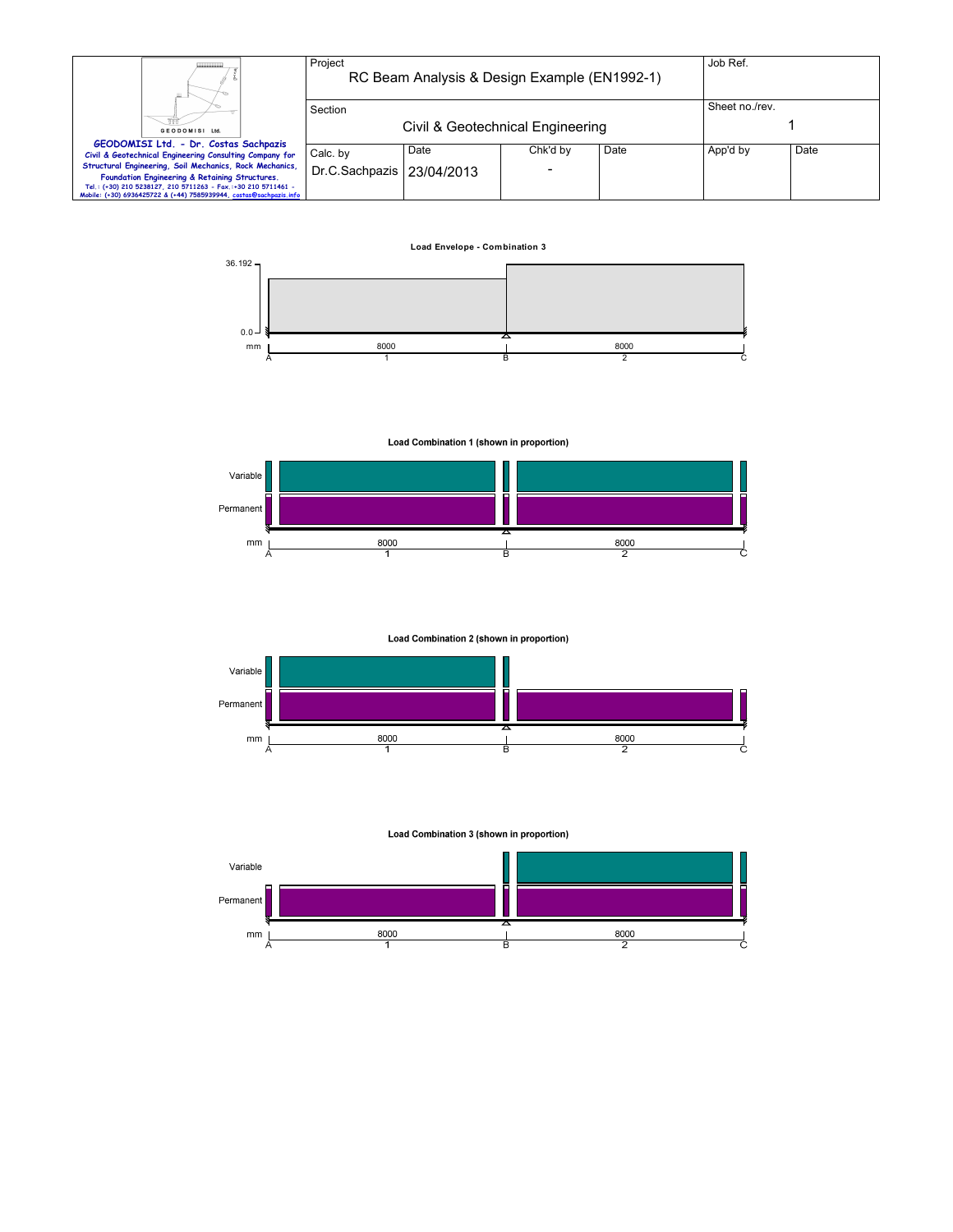| Ш.                                                                                                                                  | Project<br>RC Beam Analysis & Design Example (EN1992-1) |      |                          |      | Job Ref.       |      |
|-------------------------------------------------------------------------------------------------------------------------------------|---------------------------------------------------------|------|--------------------------|------|----------------|------|
|                                                                                                                                     | Section                                                 |      |                          |      | Sheet no./rev. |      |
| GEODOMISI Ltd.                                                                                                                      | Civil & Geotechnical Engineering                        |      |                          |      |                |      |
| GEODOMISI Ltd. - Dr. Costas Sachpazis<br>Civil & Geotechnical Engineering Consulting Company for                                    | Calc. by                                                | Date | Chk'd by                 | Date | App'd by       | Date |
| Structural Engineering, Soil Mechanics, Rock Mechanics,<br>Foundation Engineering & Retaining Structures.                           | Dr.C.Sachpazis   23/04/2013                             |      | $\overline{\phantom{0}}$ |      |                |      |
| Tel.: (+30) 210 5238127, 210 5711263 - Fax.:+30 210 5711461 -<br>Mobile: (+30) 6936425722 & (+44) 7585939944, costas@sachpazis.info |                                                         |      |                          |      |                |      |

**Load Envelope - Combination 3**



Load Combination 1 (shown in proportion)



Load Combination 2 (shown in proportion)



Load Combination 3 (shown in proportion)

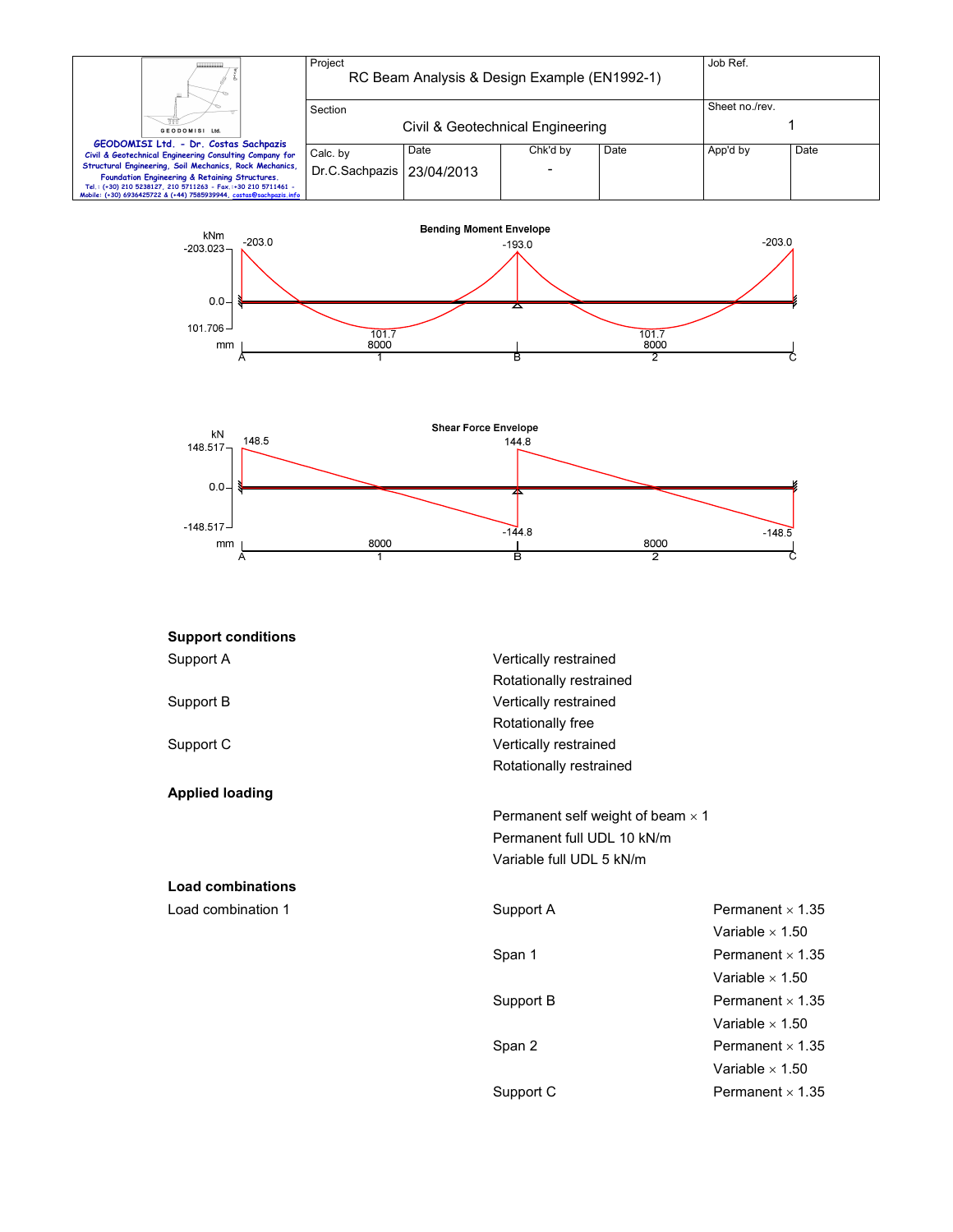|                                                                                                                                                                                                                                                  | Project                                     | RC Beam Analysis & Design Example (EN1992-1) |          |      | Job Ref. |      |
|--------------------------------------------------------------------------------------------------------------------------------------------------------------------------------------------------------------------------------------------------|---------------------------------------------|----------------------------------------------|----------|------|----------|------|
| GEODOMISI Ltd.                                                                                                                                                                                                                                   | Section<br>Civil & Geotechnical Engineering | Sheet no./rev.                               |          |      |          |      |
| GEODOMISI Ltd. - Dr. Costas Sachpazis<br>Civil & Geotechnical Engineering Consulting Company for                                                                                                                                                 | Calc. by                                    | Date                                         | Chk'd by | Date | App'd by | Date |
| Structural Engineering, Soil Mechanics, Rock Mechanics,<br>Foundation Engineering & Retaining Structures.<br>Tel.: (+30) 210 5238127, 210 5711263 - Fax.:+30 210 5711461 -<br>Mobile: (+30) 6936425722 & (+44) 7585939944, costas@sachpazis.info | Dr.C.Sachpazis 23/04/2013                   |                                              |          |      |          |      |





| <b>Support conditions</b> |                          |                                          |  |  |  |
|---------------------------|--------------------------|------------------------------------------|--|--|--|
| Support A                 | Vertically restrained    |                                          |  |  |  |
|                           | Rotationally restrained  |                                          |  |  |  |
| Support B                 | Vertically restrained    |                                          |  |  |  |
|                           | Rotationally free        |                                          |  |  |  |
| Support C                 | Vertically restrained    |                                          |  |  |  |
|                           | Rotationally restrained  |                                          |  |  |  |
| <b>Applied loading</b>    |                          |                                          |  |  |  |
|                           |                          | Permanent self weight of beam $\times$ 1 |  |  |  |
|                           |                          | Permanent full UDL 10 kN/m               |  |  |  |
|                           | Variable full UDL 5 kN/m |                                          |  |  |  |
| <b>Load combinations</b>  |                          |                                          |  |  |  |
| Load combination 1        | Support A                | Permanent $\times$ 1.35                  |  |  |  |
|                           |                          | Variable $\times$ 1.50                   |  |  |  |
|                           | Span 1                   | Permanent $\times$ 1.35                  |  |  |  |
|                           |                          | Variable $\times$ 1.50                   |  |  |  |
|                           | Support B                | Permanent $\times$ 1.35                  |  |  |  |
|                           |                          | Variable $\times$ 1.50                   |  |  |  |
|                           | Span 2                   | Permanent $\times$ 1.35                  |  |  |  |

Variable  $\times$  1.50

Support C Permanent × 1.35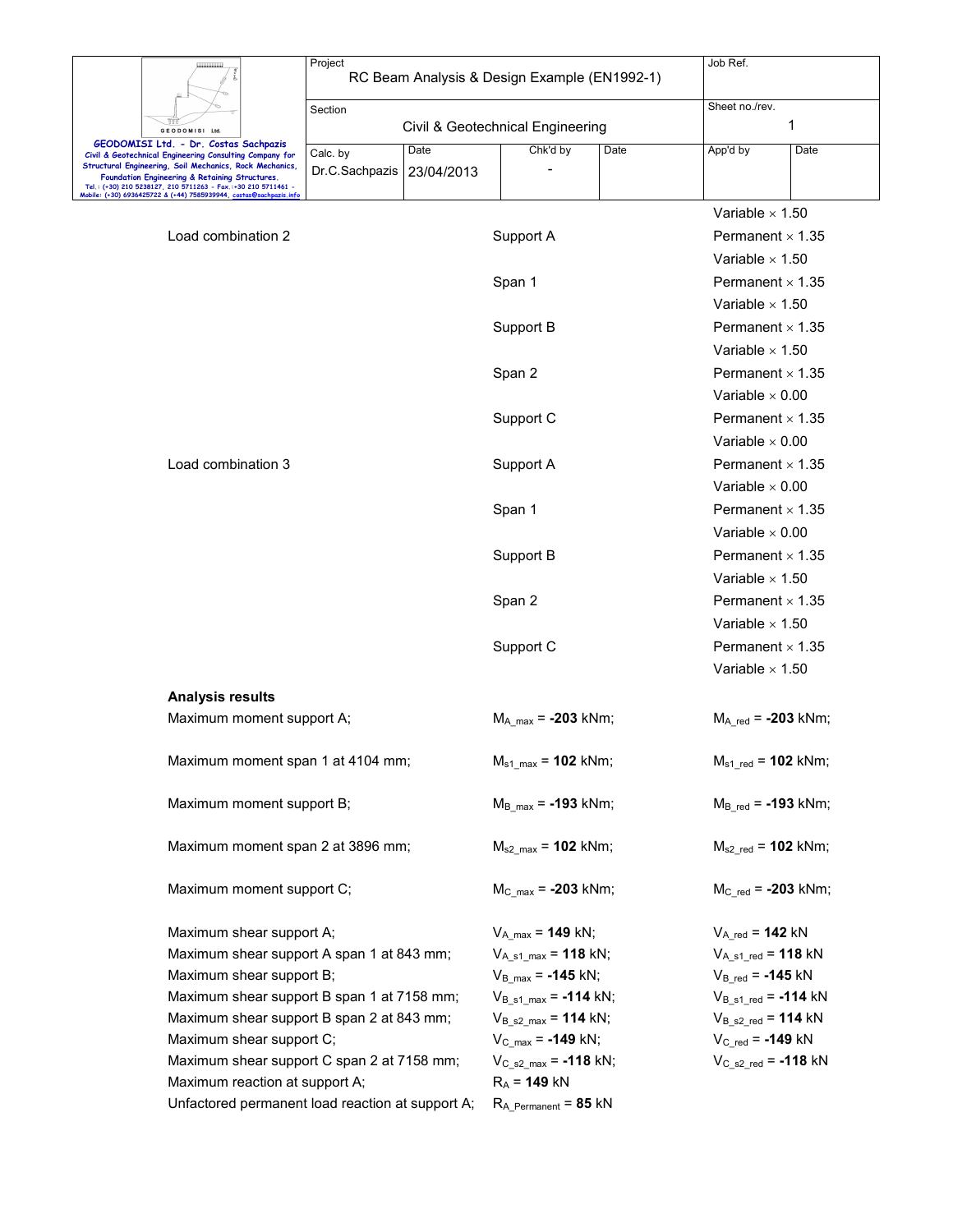| RC Beam Analysis & Design Example (EN1992-1)<br>Sheet no./rev.<br>Section<br>1<br>Civil & Geotechnical Engineering<br>GEODOMISI Ltd<br>GEODOMISI Ltd. - Dr. Costas Sachpazis<br>Chk'd by<br>Date<br>Date<br>App'd by<br>Date<br>Calc. by<br>Civil & Geotechnical Engineering Consulting Company for<br>Structural Engineering, Soil Mechanics, Rock Mechanics,<br>Dr.C.Sachpazis<br>23/04/2013<br>Foundation Engineering & Retaining Structures.<br>Tel.: (+30) 210 5238127, 210 5711263 - Fax.:+30 210 5711461 -<br>Mobile: (+30) 6936425722 & (+44) 7585939944, costas <mark>@</mark> s<br>Variable $\times$ 1.50<br>Load combination 2<br>Support A<br>Permanent $\times$ 1.35<br>Variable $\times$ 1.50<br>Span 1<br>Permanent $\times$ 1.35<br>Variable $\times$ 1.50<br>Support B<br>Permanent $\times$ 1.35<br>Variable $\times$ 1.50<br>Span 2<br>Permanent $\times$ 1.35<br>Variable $\times$ 0.00<br>Support C<br>Permanent $\times$ 1.35<br>Variable $\times$ 0.00<br>Load combination 3<br>Support A<br>Permanent $\times$ 1.35<br>Variable $\times$ 0.00<br>Permanent $\times$ 1.35<br>Span 1<br>Variable $\times$ 0.00<br>Support B<br>Permanent $\times$ 1.35<br>Variable $\times$ 1.50<br>Permanent $\times$ 1.35<br>Span 2<br>Variable $\times$ 1.50<br>Support C<br>Permanent $\times$ 1.35<br>Variable $\times$ 1.50<br><b>Analysis results</b><br>Maximum moment support A;<br>$M_A$ <sub>max</sub> = -203 kNm;<br>$M_{A \text{ red}} = -203 \text{ kNm};$<br>Maximum moment span 1 at 4104 mm;<br>$M_{s1 \, max}$ = 102 kNm;<br>$M_{s1 \text{ red}} = 102 \text{ kNm};$<br>Maximum moment support B;<br>$M_{B \text{ red}} = -193 \text{ kNm};$<br>$M_{\rm B max}$ = -193 kNm;<br>Maximum moment span 2 at 3896 mm;<br>$M_{s2,max} = 102$ kNm;<br>$M_{s2 \text{ red}} = 102 \text{ kNm};$<br>Maximum moment support C;<br>$M_{C \, max} = -203$ kNm;<br>$M_{C \text{ red}} = -203 \text{ kNm};$<br>Maximum shear support A;<br>$V_{A max} = 149$ kN;<br>$V_{A_{red}} = 142$ kN<br>Maximum shear support A span 1 at 843 mm;<br>$V_{A_51\_max}$ = 118 kN;<br>$V_{A_s1_{red}} = 118$ kN<br>Maximum shear support B;<br>$V_{B_{max}} = -145$ kN;<br>$V_{B_{red}} = -145$ kN | Project |  | Job Ref. |  |
|-----------------------------------------------------------------------------------------------------------------------------------------------------------------------------------------------------------------------------------------------------------------------------------------------------------------------------------------------------------------------------------------------------------------------------------------------------------------------------------------------------------------------------------------------------------------------------------------------------------------------------------------------------------------------------------------------------------------------------------------------------------------------------------------------------------------------------------------------------------------------------------------------------------------------------------------------------------------------------------------------------------------------------------------------------------------------------------------------------------------------------------------------------------------------------------------------------------------------------------------------------------------------------------------------------------------------------------------------------------------------------------------------------------------------------------------------------------------------------------------------------------------------------------------------------------------------------------------------------------------------------------------------------------------------------------------------------------------------------------------------------------------------------------------------------------------------------------------------------------------------------------------------------------------------------------------------------------------------------------------------------------------------------------------------------------------------------------------------------------------------------------------------------------------------------------------------|---------|--|----------|--|
|                                                                                                                                                                                                                                                                                                                                                                                                                                                                                                                                                                                                                                                                                                                                                                                                                                                                                                                                                                                                                                                                                                                                                                                                                                                                                                                                                                                                                                                                                                                                                                                                                                                                                                                                                                                                                                                                                                                                                                                                                                                                                                                                                                                               |         |  |          |  |
|                                                                                                                                                                                                                                                                                                                                                                                                                                                                                                                                                                                                                                                                                                                                                                                                                                                                                                                                                                                                                                                                                                                                                                                                                                                                                                                                                                                                                                                                                                                                                                                                                                                                                                                                                                                                                                                                                                                                                                                                                                                                                                                                                                                               |         |  |          |  |
|                                                                                                                                                                                                                                                                                                                                                                                                                                                                                                                                                                                                                                                                                                                                                                                                                                                                                                                                                                                                                                                                                                                                                                                                                                                                                                                                                                                                                                                                                                                                                                                                                                                                                                                                                                                                                                                                                                                                                                                                                                                                                                                                                                                               |         |  |          |  |
|                                                                                                                                                                                                                                                                                                                                                                                                                                                                                                                                                                                                                                                                                                                                                                                                                                                                                                                                                                                                                                                                                                                                                                                                                                                                                                                                                                                                                                                                                                                                                                                                                                                                                                                                                                                                                                                                                                                                                                                                                                                                                                                                                                                               |         |  |          |  |
|                                                                                                                                                                                                                                                                                                                                                                                                                                                                                                                                                                                                                                                                                                                                                                                                                                                                                                                                                                                                                                                                                                                                                                                                                                                                                                                                                                                                                                                                                                                                                                                                                                                                                                                                                                                                                                                                                                                                                                                                                                                                                                                                                                                               |         |  |          |  |
|                                                                                                                                                                                                                                                                                                                                                                                                                                                                                                                                                                                                                                                                                                                                                                                                                                                                                                                                                                                                                                                                                                                                                                                                                                                                                                                                                                                                                                                                                                                                                                                                                                                                                                                                                                                                                                                                                                                                                                                                                                                                                                                                                                                               |         |  |          |  |
|                                                                                                                                                                                                                                                                                                                                                                                                                                                                                                                                                                                                                                                                                                                                                                                                                                                                                                                                                                                                                                                                                                                                                                                                                                                                                                                                                                                                                                                                                                                                                                                                                                                                                                                                                                                                                                                                                                                                                                                                                                                                                                                                                                                               |         |  |          |  |
|                                                                                                                                                                                                                                                                                                                                                                                                                                                                                                                                                                                                                                                                                                                                                                                                                                                                                                                                                                                                                                                                                                                                                                                                                                                                                                                                                                                                                                                                                                                                                                                                                                                                                                                                                                                                                                                                                                                                                                                                                                                                                                                                                                                               |         |  |          |  |
|                                                                                                                                                                                                                                                                                                                                                                                                                                                                                                                                                                                                                                                                                                                                                                                                                                                                                                                                                                                                                                                                                                                                                                                                                                                                                                                                                                                                                                                                                                                                                                                                                                                                                                                                                                                                                                                                                                                                                                                                                                                                                                                                                                                               |         |  |          |  |
|                                                                                                                                                                                                                                                                                                                                                                                                                                                                                                                                                                                                                                                                                                                                                                                                                                                                                                                                                                                                                                                                                                                                                                                                                                                                                                                                                                                                                                                                                                                                                                                                                                                                                                                                                                                                                                                                                                                                                                                                                                                                                                                                                                                               |         |  |          |  |
|                                                                                                                                                                                                                                                                                                                                                                                                                                                                                                                                                                                                                                                                                                                                                                                                                                                                                                                                                                                                                                                                                                                                                                                                                                                                                                                                                                                                                                                                                                                                                                                                                                                                                                                                                                                                                                                                                                                                                                                                                                                                                                                                                                                               |         |  |          |  |
|                                                                                                                                                                                                                                                                                                                                                                                                                                                                                                                                                                                                                                                                                                                                                                                                                                                                                                                                                                                                                                                                                                                                                                                                                                                                                                                                                                                                                                                                                                                                                                                                                                                                                                                                                                                                                                                                                                                                                                                                                                                                                                                                                                                               |         |  |          |  |
|                                                                                                                                                                                                                                                                                                                                                                                                                                                                                                                                                                                                                                                                                                                                                                                                                                                                                                                                                                                                                                                                                                                                                                                                                                                                                                                                                                                                                                                                                                                                                                                                                                                                                                                                                                                                                                                                                                                                                                                                                                                                                                                                                                                               |         |  |          |  |
|                                                                                                                                                                                                                                                                                                                                                                                                                                                                                                                                                                                                                                                                                                                                                                                                                                                                                                                                                                                                                                                                                                                                                                                                                                                                                                                                                                                                                                                                                                                                                                                                                                                                                                                                                                                                                                                                                                                                                                                                                                                                                                                                                                                               |         |  |          |  |
|                                                                                                                                                                                                                                                                                                                                                                                                                                                                                                                                                                                                                                                                                                                                                                                                                                                                                                                                                                                                                                                                                                                                                                                                                                                                                                                                                                                                                                                                                                                                                                                                                                                                                                                                                                                                                                                                                                                                                                                                                                                                                                                                                                                               |         |  |          |  |
|                                                                                                                                                                                                                                                                                                                                                                                                                                                                                                                                                                                                                                                                                                                                                                                                                                                                                                                                                                                                                                                                                                                                                                                                                                                                                                                                                                                                                                                                                                                                                                                                                                                                                                                                                                                                                                                                                                                                                                                                                                                                                                                                                                                               |         |  |          |  |
|                                                                                                                                                                                                                                                                                                                                                                                                                                                                                                                                                                                                                                                                                                                                                                                                                                                                                                                                                                                                                                                                                                                                                                                                                                                                                                                                                                                                                                                                                                                                                                                                                                                                                                                                                                                                                                                                                                                                                                                                                                                                                                                                                                                               |         |  |          |  |
|                                                                                                                                                                                                                                                                                                                                                                                                                                                                                                                                                                                                                                                                                                                                                                                                                                                                                                                                                                                                                                                                                                                                                                                                                                                                                                                                                                                                                                                                                                                                                                                                                                                                                                                                                                                                                                                                                                                                                                                                                                                                                                                                                                                               |         |  |          |  |
|                                                                                                                                                                                                                                                                                                                                                                                                                                                                                                                                                                                                                                                                                                                                                                                                                                                                                                                                                                                                                                                                                                                                                                                                                                                                                                                                                                                                                                                                                                                                                                                                                                                                                                                                                                                                                                                                                                                                                                                                                                                                                                                                                                                               |         |  |          |  |
|                                                                                                                                                                                                                                                                                                                                                                                                                                                                                                                                                                                                                                                                                                                                                                                                                                                                                                                                                                                                                                                                                                                                                                                                                                                                                                                                                                                                                                                                                                                                                                                                                                                                                                                                                                                                                                                                                                                                                                                                                                                                                                                                                                                               |         |  |          |  |
|                                                                                                                                                                                                                                                                                                                                                                                                                                                                                                                                                                                                                                                                                                                                                                                                                                                                                                                                                                                                                                                                                                                                                                                                                                                                                                                                                                                                                                                                                                                                                                                                                                                                                                                                                                                                                                                                                                                                                                                                                                                                                                                                                                                               |         |  |          |  |
|                                                                                                                                                                                                                                                                                                                                                                                                                                                                                                                                                                                                                                                                                                                                                                                                                                                                                                                                                                                                                                                                                                                                                                                                                                                                                                                                                                                                                                                                                                                                                                                                                                                                                                                                                                                                                                                                                                                                                                                                                                                                                                                                                                                               |         |  |          |  |
|                                                                                                                                                                                                                                                                                                                                                                                                                                                                                                                                                                                                                                                                                                                                                                                                                                                                                                                                                                                                                                                                                                                                                                                                                                                                                                                                                                                                                                                                                                                                                                                                                                                                                                                                                                                                                                                                                                                                                                                                                                                                                                                                                                                               |         |  |          |  |
|                                                                                                                                                                                                                                                                                                                                                                                                                                                                                                                                                                                                                                                                                                                                                                                                                                                                                                                                                                                                                                                                                                                                                                                                                                                                                                                                                                                                                                                                                                                                                                                                                                                                                                                                                                                                                                                                                                                                                                                                                                                                                                                                                                                               |         |  |          |  |
|                                                                                                                                                                                                                                                                                                                                                                                                                                                                                                                                                                                                                                                                                                                                                                                                                                                                                                                                                                                                                                                                                                                                                                                                                                                                                                                                                                                                                                                                                                                                                                                                                                                                                                                                                                                                                                                                                                                                                                                                                                                                                                                                                                                               |         |  |          |  |
|                                                                                                                                                                                                                                                                                                                                                                                                                                                                                                                                                                                                                                                                                                                                                                                                                                                                                                                                                                                                                                                                                                                                                                                                                                                                                                                                                                                                                                                                                                                                                                                                                                                                                                                                                                                                                                                                                                                                                                                                                                                                                                                                                                                               |         |  |          |  |
|                                                                                                                                                                                                                                                                                                                                                                                                                                                                                                                                                                                                                                                                                                                                                                                                                                                                                                                                                                                                                                                                                                                                                                                                                                                                                                                                                                                                                                                                                                                                                                                                                                                                                                                                                                                                                                                                                                                                                                                                                                                                                                                                                                                               |         |  |          |  |
|                                                                                                                                                                                                                                                                                                                                                                                                                                                                                                                                                                                                                                                                                                                                                                                                                                                                                                                                                                                                                                                                                                                                                                                                                                                                                                                                                                                                                                                                                                                                                                                                                                                                                                                                                                                                                                                                                                                                                                                                                                                                                                                                                                                               |         |  |          |  |
|                                                                                                                                                                                                                                                                                                                                                                                                                                                                                                                                                                                                                                                                                                                                                                                                                                                                                                                                                                                                                                                                                                                                                                                                                                                                                                                                                                                                                                                                                                                                                                                                                                                                                                                                                                                                                                                                                                                                                                                                                                                                                                                                                                                               |         |  |          |  |
|                                                                                                                                                                                                                                                                                                                                                                                                                                                                                                                                                                                                                                                                                                                                                                                                                                                                                                                                                                                                                                                                                                                                                                                                                                                                                                                                                                                                                                                                                                                                                                                                                                                                                                                                                                                                                                                                                                                                                                                                                                                                                                                                                                                               |         |  |          |  |
|                                                                                                                                                                                                                                                                                                                                                                                                                                                                                                                                                                                                                                                                                                                                                                                                                                                                                                                                                                                                                                                                                                                                                                                                                                                                                                                                                                                                                                                                                                                                                                                                                                                                                                                                                                                                                                                                                                                                                                                                                                                                                                                                                                                               |         |  |          |  |
|                                                                                                                                                                                                                                                                                                                                                                                                                                                                                                                                                                                                                                                                                                                                                                                                                                                                                                                                                                                                                                                                                                                                                                                                                                                                                                                                                                                                                                                                                                                                                                                                                                                                                                                                                                                                                                                                                                                                                                                                                                                                                                                                                                                               |         |  |          |  |
|                                                                                                                                                                                                                                                                                                                                                                                                                                                                                                                                                                                                                                                                                                                                                                                                                                                                                                                                                                                                                                                                                                                                                                                                                                                                                                                                                                                                                                                                                                                                                                                                                                                                                                                                                                                                                                                                                                                                                                                                                                                                                                                                                                                               |         |  |          |  |
|                                                                                                                                                                                                                                                                                                                                                                                                                                                                                                                                                                                                                                                                                                                                                                                                                                                                                                                                                                                                                                                                                                                                                                                                                                                                                                                                                                                                                                                                                                                                                                                                                                                                                                                                                                                                                                                                                                                                                                                                                                                                                                                                                                                               |         |  |          |  |
|                                                                                                                                                                                                                                                                                                                                                                                                                                                                                                                                                                                                                                                                                                                                                                                                                                                                                                                                                                                                                                                                                                                                                                                                                                                                                                                                                                                                                                                                                                                                                                                                                                                                                                                                                                                                                                                                                                                                                                                                                                                                                                                                                                                               |         |  |          |  |
|                                                                                                                                                                                                                                                                                                                                                                                                                                                                                                                                                                                                                                                                                                                                                                                                                                                                                                                                                                                                                                                                                                                                                                                                                                                                                                                                                                                                                                                                                                                                                                                                                                                                                                                                                                                                                                                                                                                                                                                                                                                                                                                                                                                               |         |  |          |  |
|                                                                                                                                                                                                                                                                                                                                                                                                                                                                                                                                                                                                                                                                                                                                                                                                                                                                                                                                                                                                                                                                                                                                                                                                                                                                                                                                                                                                                                                                                                                                                                                                                                                                                                                                                                                                                                                                                                                                                                                                                                                                                                                                                                                               |         |  |          |  |
|                                                                                                                                                                                                                                                                                                                                                                                                                                                                                                                                                                                                                                                                                                                                                                                                                                                                                                                                                                                                                                                                                                                                                                                                                                                                                                                                                                                                                                                                                                                                                                                                                                                                                                                                                                                                                                                                                                                                                                                                                                                                                                                                                                                               |         |  |          |  |
|                                                                                                                                                                                                                                                                                                                                                                                                                                                                                                                                                                                                                                                                                                                                                                                                                                                                                                                                                                                                                                                                                                                                                                                                                                                                                                                                                                                                                                                                                                                                                                                                                                                                                                                                                                                                                                                                                                                                                                                                                                                                                                                                                                                               |         |  |          |  |
|                                                                                                                                                                                                                                                                                                                                                                                                                                                                                                                                                                                                                                                                                                                                                                                                                                                                                                                                                                                                                                                                                                                                                                                                                                                                                                                                                                                                                                                                                                                                                                                                                                                                                                                                                                                                                                                                                                                                                                                                                                                                                                                                                                                               |         |  |          |  |
|                                                                                                                                                                                                                                                                                                                                                                                                                                                                                                                                                                                                                                                                                                                                                                                                                                                                                                                                                                                                                                                                                                                                                                                                                                                                                                                                                                                                                                                                                                                                                                                                                                                                                                                                                                                                                                                                                                                                                                                                                                                                                                                                                                                               |         |  |          |  |
| $V_{B_51\_max}$ = -114 kN;<br>$V_{B_s1_{red}} = -114$ kN<br>Maximum shear support B span 1 at 7158 mm;<br>$V_{B_S2_{red}} = 114$ kN<br>Maximum shear support B span 2 at 843 mm;<br>$V_{B_2s2_{max}} = 114$ kN;                                                                                                                                                                                                                                                                                                                                                                                                                                                                                                                                                                                                                                                                                                                                                                                                                                                                                                                                                                                                                                                                                                                                                                                                                                                                                                                                                                                                                                                                                                                                                                                                                                                                                                                                                                                                                                                                                                                                                                               |         |  |          |  |
| Maximum shear support C;<br>$V_C$ <sub>red</sub> = -149 kN<br>$V_{C_{max}} = -149$ kN;                                                                                                                                                                                                                                                                                                                                                                                                                                                                                                                                                                                                                                                                                                                                                                                                                                                                                                                                                                                                                                                                                                                                                                                                                                                                                                                                                                                                                                                                                                                                                                                                                                                                                                                                                                                                                                                                                                                                                                                                                                                                                                        |         |  |          |  |
| Maximum shear support C span 2 at 7158 mm;<br>$V_{C_22\_max}$ = -118 kN;<br>$V_{C_S2_{red}} = -118$ kN                                                                                                                                                                                                                                                                                                                                                                                                                                                                                                                                                                                                                                                                                                                                                                                                                                                                                                                                                                                                                                                                                                                                                                                                                                                                                                                                                                                                                                                                                                                                                                                                                                                                                                                                                                                                                                                                                                                                                                                                                                                                                        |         |  |          |  |
| Maximum reaction at support A;<br>$R_A = 149$ kN                                                                                                                                                                                                                                                                                                                                                                                                                                                                                                                                                                                                                                                                                                                                                                                                                                                                                                                                                                                                                                                                                                                                                                                                                                                                                                                                                                                                                                                                                                                                                                                                                                                                                                                                                                                                                                                                                                                                                                                                                                                                                                                                              |         |  |          |  |
| Unfactored permanent load reaction at support A;<br>$R_{A_Permanent}$ = 85 kN                                                                                                                                                                                                                                                                                                                                                                                                                                                                                                                                                                                                                                                                                                                                                                                                                                                                                                                                                                                                                                                                                                                                                                                                                                                                                                                                                                                                                                                                                                                                                                                                                                                                                                                                                                                                                                                                                                                                                                                                                                                                                                                 |         |  |          |  |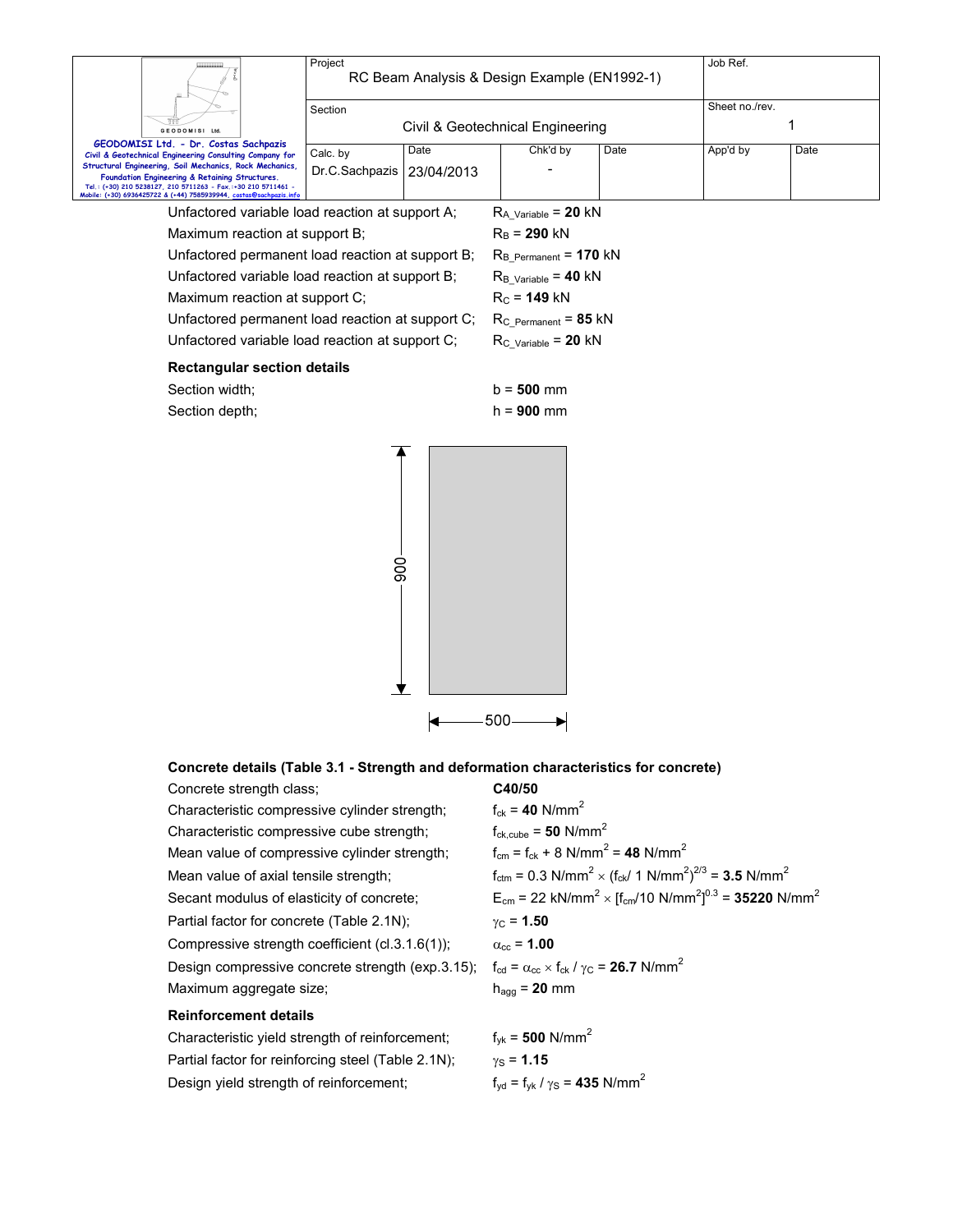|                                                                                                                                                                                                                                                  | Project        |            | RC Beam Analysis & Design Example (EN1992-1)     |      | Job Ref. |      |  |
|--------------------------------------------------------------------------------------------------------------------------------------------------------------------------------------------------------------------------------------------------|----------------|------------|--------------------------------------------------|------|----------|------|--|
|                                                                                                                                                                                                                                                  | Section        |            | Sheet no./rev.                                   |      |          |      |  |
| GEODOMISI Ltd.                                                                                                                                                                                                                                   |                |            | Civil & Geotechnical Engineering                 |      |          |      |  |
| GEODOMISI Ltd. - Dr. Costas Sachpazis<br>Civil & Geotechnical Engineering Consulting Company for                                                                                                                                                 | Calc. by       | Date       | Chk'd by                                         | Date | App'd by | Date |  |
| Structural Engineering, Soil Mechanics, Rock Mechanics,<br>Foundation Engineering & Retaining Structures.<br>Tel.: (+30) 210 5238127, 210 5711263 - Fax.:+30 210 5711461 -<br>Mobile: (+30) 6936425722 & (+44) 7585939944, costas@sachpazis.info | Dr.C.Sachpazis | 23/04/2013 |                                                  |      |          |      |  |
| Unfactored variable load reaction at support A;                                                                                                                                                                                                  |                |            | $R_{A_V\alpha$ riable = 20 kN                    |      |          |      |  |
| Maximum reaction at support B;                                                                                                                                                                                                                   |                |            | $R_{B}$ = 290 kN                                 |      |          |      |  |
| Unfactored permanent load reaction at support B;                                                                                                                                                                                                 |                |            | $R_{B_{\text{Permanent}}}$ = 170 kN              |      |          |      |  |
| Unfactored variable load reaction at support B;                                                                                                                                                                                                  |                |            | $R_{B_V\alpha\text{riable}} = 40 \text{ kN}$     |      |          |      |  |
| Maximum reaction at support C;                                                                                                                                                                                                                   |                |            | $R_C = 149$ kN                                   |      |          |      |  |
| Unfactored permanent load reaction at support C;                                                                                                                                                                                                 |                |            | $R_C$ Permanent = 85 kN                          |      |          |      |  |
| Unfactored variable load reaction at support C;                                                                                                                                                                                                  |                |            | $R_{C_{\text{}}\text{Variable}} = 20 \text{ kN}$ |      |          |      |  |
| <b>Rectangular section details</b>                                                                                                                                                                                                               |                |            |                                                  |      |          |      |  |
| Section width;                                                                                                                                                                                                                                   |                |            | $b = 500$ mm                                     |      |          |      |  |
| Section depth;                                                                                                                                                                                                                                   |                |            | $h = 900$ mm                                     |      |          |      |  |
|                                                                                                                                                                                                                                                  |                |            |                                                  |      |          |      |  |

|  | Concrete details (Table 3.1 - Strength and deformation characteristics for concrete) |  |
|--|--------------------------------------------------------------------------------------|--|
|--|--------------------------------------------------------------------------------------|--|

 $\left| \bullet \right|$ 

 $-900 -$ 

 $\overline{\mathbf{r}}$ 

| Concrete strength class;                           | C40/50                                                                                                                      |
|----------------------------------------------------|-----------------------------------------------------------------------------------------------------------------------------|
| Characteristic compressive cylinder strength;      | $f_{ck} = 40$ N/mm <sup>2</sup>                                                                                             |
| Characteristic compressive cube strength;          | $f_{ck.cube} = 50$ N/mm <sup>2</sup>                                                                                        |
| Mean value of compressive cylinder strength;       | $f_{cm} = f_{ck} + 8$ N/mm <sup>2</sup> = 48 N/mm <sup>2</sup>                                                              |
| Mean value of axial tensile strength;              | $f_{\text{ctm}} = 0.3 \text{ N/mm}^2 \times (f_{\text{ck}}/1 \text{ N/mm}^2)^{2/3} = 3.5 \text{ N/mm}^2$                    |
| Secant modulus of elasticity of concrete;          | $E_{cm}$ = 22 kN/mm <sup>2</sup> × [f <sub>cm</sub> /10 N/mm <sup>2</sup> ] <sup>0.3</sup> = <b>35220</b> N/mm <sup>2</sup> |
| Partial factor for concrete (Table 2.1N);          | $y_C = 1.50$                                                                                                                |
| Compressive strength coefficient (cl.3.1.6(1));    | $\alpha_{\rm cc}$ = 1.00                                                                                                    |
| Design compressive concrete strength (exp.3.15);   | $f_{\text{cd}} = \alpha_{\text{cc}} \times f_{\text{ck}} / \gamma_{\text{C}} = 26.7 \text{ N/mm}^2$                         |
| Maximum aggregate size;                            | $h_{\text{aqa}} = 20$ mm                                                                                                    |
| <b>Reinforcement details</b>                       |                                                                                                                             |
| Characteristic yield strength of reinforcement;    | $f_{\text{vk}} = 500 \text{ N/mm}^2$                                                                                        |
| Partial factor for reinforcing steel (Table 2.1N); | $y_S = 1.15$                                                                                                                |
| Design yield strength of reinforcement;            | $f_{\text{vd}} = f_{\text{vk}} / \gamma_{\text{S}} = 435 \text{ N/mm}^2$                                                    |

 $-500-$ 

 $\blacktriangleright$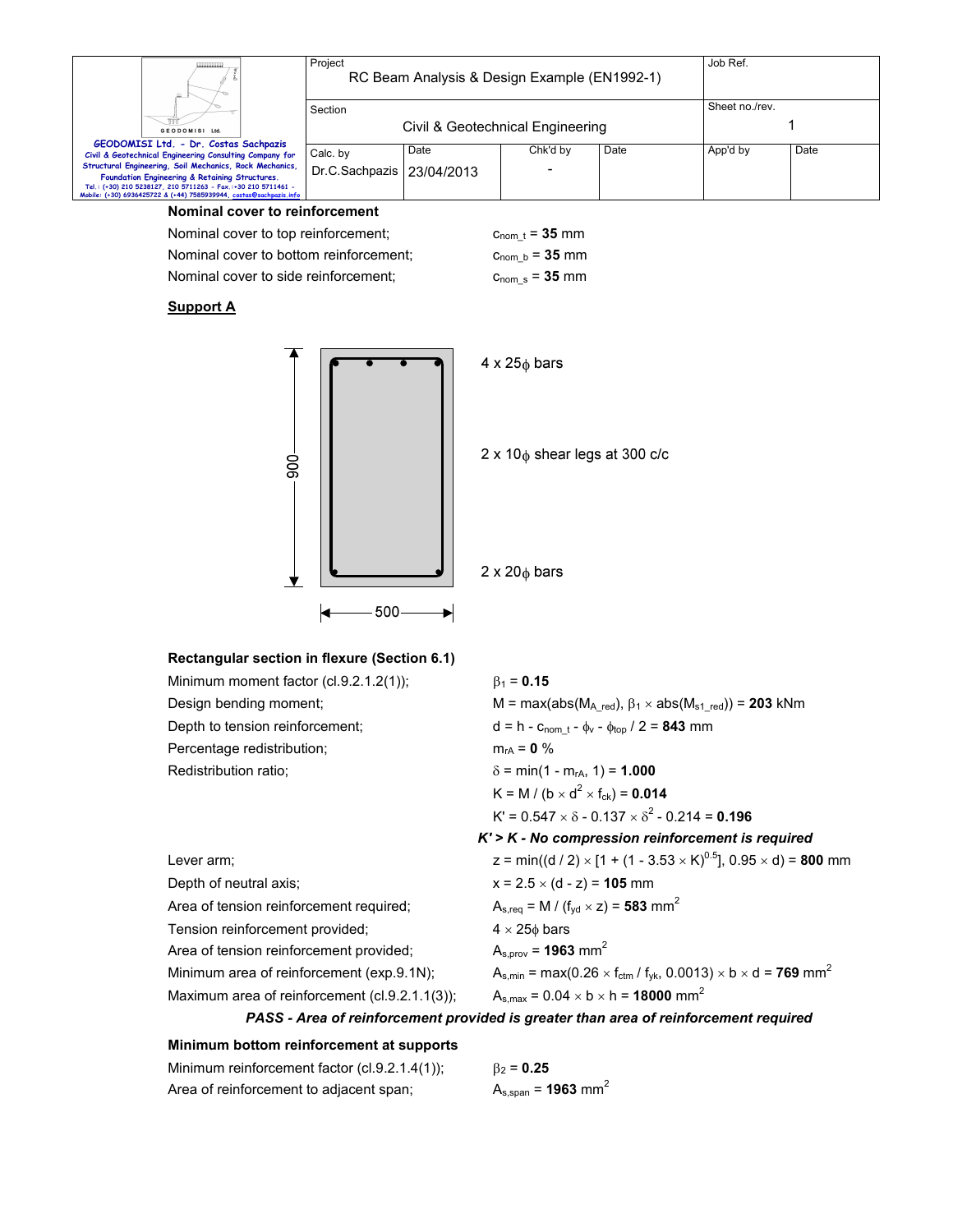|                                                                                                                                     | Project                          | RC Beam Analysis & Design Example (EN1992-1) |          |      | Job Ref.       |      |
|-------------------------------------------------------------------------------------------------------------------------------------|----------------------------------|----------------------------------------------|----------|------|----------------|------|
|                                                                                                                                     | Section                          |                                              |          |      | Sheet no./rev. |      |
| GEODOMISI Ltd.                                                                                                                      | Civil & Geotechnical Engineering |                                              |          |      |                |      |
| GEODOMISI Ltd. - Dr. Costas Sachpazis<br>Civil & Geotechnical Engineering Consulting Company for                                    | Calc. by                         | Date                                         | Chk'd by | Date | App'd by       | Date |
| Structural Engineering, Soil Mechanics, Rock Mechanics,<br>Foundation Engineering & Retaining Structures.                           | Dr.C.Sachpazis   23/04/2013      |                                              | -        |      |                |      |
| Tel.: (+30) 210 5238127, 210 5711263 - Fax,:+30 210 5711461 -<br>Mobile: (+30) 6936425722 & (+44) 7585939944, costas@sachpazis.info |                                  |                                              |          |      |                |      |

### **Nominal cover to reinforcement**

Nominal cover to top reinforcement;  $c_{\text{nom }t} = 35$  mm

Nominal cover to bottom reinforcement;  $c_{\text{nom_b}} = 35$  mm Nominal cover to side reinforcement;  $c_{\text{nom_s}} = 35$  mm

## **Support A**



# **Rectangular section in flexure (Section 6.1)**

| Minimum moment factor (cl.9.2.1.2(1));         | $\beta_1$ = 0.15                                                                                       |
|------------------------------------------------|--------------------------------------------------------------------------------------------------------|
| Design bending moment;                         | M = max(abs( $M_{A \text{ red}}$ ), $\beta_1 \times abs(M_{s1 \text{ red}})$ ) = 203 kNm               |
| Depth to tension reinforcement;                | $d = h - c_{\text{nom }t} - \phi_v - \phi_{\text{top}} / 2 = 843$ mm                                   |
| Percentage redistribution;                     | $m_{rA} = 0 \%$                                                                                        |
| Redistribution ratio;                          | $\delta$ = min(1 - m <sub>rA</sub> , 1) = <b>1.000</b>                                                 |
|                                                | K = M / (b $\times$ d <sup>2</sup> $\times$ f <sub>ck</sub> ) = <b>0.014</b>                           |
|                                                | $K' = 0.547 \times \delta - 0.137 \times \delta^2 - 0.214 = 0.196$                                     |
|                                                | $K'$ > $K$ - No compression reinforcement is required                                                  |
| Lever arm;                                     | z = min((d / 2) $\times$ [1 + (1 - 3.53 $\times$ K) <sup>0.5</sup> ], 0.95 $\times$ d) = <b>800</b> mm |
| Depth of neutral axis;                         | $x = 2.5 \times (d - z) = 105$ mm                                                                      |
| Area of tension reinforcement required;        | $A_{s,req} = M / (f_{vd} \times z) = 583$ mm <sup>2</sup>                                              |
| Tension reinforcement provided;                | $4 \times 25\phi$ bars                                                                                 |
| Area of tension reinforcement provided;        | $A_{s.prov} = 1963$ mm <sup>2</sup>                                                                    |
| Minimum area of reinforcement (exp.9.1N);      | $A_{s,min} = max(0.26 \times f_{ctm} / f_{yk}, 0.0013) \times b \times d = 769$ mm <sup>2</sup>        |
| Maximum area of reinforcement (cl.9.2.1.1(3)); | $A_{s,max} = 0.04 \times b \times h = 18000$ mm <sup>2</sup>                                           |

### *PASS - Area of reinforcement provided is greater than area of reinforcement required*

#### **Minimum bottom reinforcement at supports**

| Minimum reinforcement factor (cl.9.2.1.4(1)); | $\beta_2 = 0.25$                    |
|-----------------------------------------------|-------------------------------------|
| Area of reinforcement to adjacent span;       | $A_{s,span} = 1963$ mm <sup>2</sup> |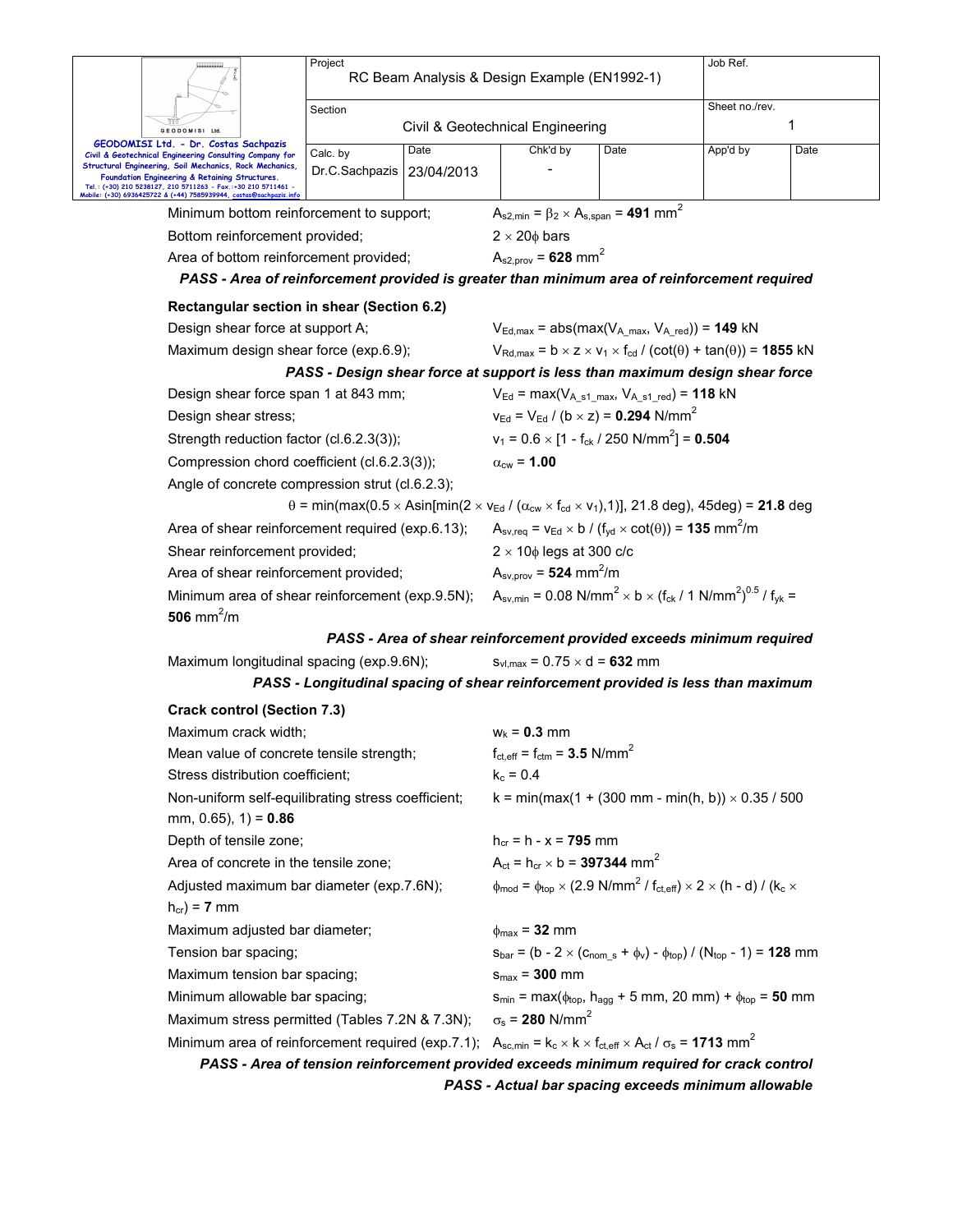|                                                                                                                                                                            | Project<br>RC Beam Analysis & Design Example (EN1992-1)                                                                                             | Job Ref.                                                       |                                                                                                                                                                   |          |      |
|----------------------------------------------------------------------------------------------------------------------------------------------------------------------------|-----------------------------------------------------------------------------------------------------------------------------------------------------|----------------------------------------------------------------|-------------------------------------------------------------------------------------------------------------------------------------------------------------------|----------|------|
|                                                                                                                                                                            | Section                                                                                                                                             |                                                                |                                                                                                                                                                   |          |      |
| GEODOMISI Ltd.                                                                                                                                                             |                                                                                                                                                     | Civil & Geotechnical Engineering                               |                                                                                                                                                                   |          | 1    |
| GEODOMISI Ltd. - Dr. Costas Sachpazis<br>Civil & Geotechnical Engineering Consulting Company for                                                                           | Date<br>Calc. by                                                                                                                                    | Chk'd by                                                       | Date                                                                                                                                                              | App'd by | Date |
| Structural Engineering, Soil Mechanics, Rock Mechanics,<br>Foundation Engineering & Retaining Structures.<br>Tel.: (+30) 210 5238127, 210 5711263 - Fax.:+30 210 5711461 - | Dr.C.Sachpazis   23/04/2013                                                                                                                         |                                                                |                                                                                                                                                                   |          |      |
| Mobile: (+30) 6936425722 & (+44) 7585939944, costas@sachpazis.inf                                                                                                          |                                                                                                                                                     |                                                                |                                                                                                                                                                   |          |      |
| Minimum bottom reinforcement to support;                                                                                                                                   |                                                                                                                                                     | $A_{s2,min} = \beta_2 \times A_{s,span} = 491$ mm <sup>2</sup> |                                                                                                                                                                   |          |      |
| Bottom reinforcement provided;                                                                                                                                             |                                                                                                                                                     | $2 \times 20\phi$ bars                                         |                                                                                                                                                                   |          |      |
| Area of bottom reinforcement provided;                                                                                                                                     | PASS - Area of reinforcement provided is greater than minimum area of reinforcement required                                                        | $A_{s2,prov} = 628$ mm <sup>2</sup>                            |                                                                                                                                                                   |          |      |
|                                                                                                                                                                            |                                                                                                                                                     |                                                                |                                                                                                                                                                   |          |      |
|                                                                                                                                                                            | Rectangular section in shear (Section 6.2)                                                                                                          |                                                                |                                                                                                                                                                   |          |      |
| Design shear force at support A;                                                                                                                                           |                                                                                                                                                     |                                                                | $V_{Ed,max}$ = abs(max( $V_{A max}$ , $V_{A red}$ )) = 149 kN                                                                                                     |          |      |
| Maximum design shear force (exp.6.9);                                                                                                                                      |                                                                                                                                                     |                                                                | $V_{\text{Rd,max}} = b \times z \times v_1 \times f_{\text{cd}} / (\text{cot}(\theta) + \text{tan}(\theta)) = 1855 \text{ kN}$                                    |          |      |
| Design shear force span 1 at 843 mm;                                                                                                                                       | PASS - Design shear force at support is less than maximum design shear force                                                                        |                                                                | $V_{Ed}$ = max( $V_{A \text{ } s1 \text{ } max}$ , $V_{A \text{ } s1 \text{ } red}$ ) = 118 kN                                                                    |          |      |
| Design shear stress;                                                                                                                                                       |                                                                                                                                                     |                                                                | $v_{\text{Ed}} = V_{\text{Ed}} / (b \times z) = 0.294 \text{ N/mm}^2$                                                                                             |          |      |
| Strength reduction factor (cl.6.2.3(3));                                                                                                                                   |                                                                                                                                                     |                                                                | $v_1 = 0.6 \times [1 - f_{ck} / 250 \text{ N/mm}^2] = 0.504$                                                                                                      |          |      |
| Compression chord coefficient (cl.6.2.3(3));                                                                                                                               |                                                                                                                                                     | $\alpha_{\text{cw}}$ = 1.00                                    |                                                                                                                                                                   |          |      |
|                                                                                                                                                                            | Angle of concrete compression strut (cl.6.2.3);                                                                                                     |                                                                |                                                                                                                                                                   |          |      |
|                                                                                                                                                                            | $\theta$ = min(max(0.5 × Asin[min(2 × V <sub>Ed</sub> / ( $\alpha_{\rm cw}$ × f <sub>cd</sub> × V <sub>1</sub> ), 1)], 21.8 deg), 45deg) = 21.8 deg |                                                                |                                                                                                                                                                   |          |      |
|                                                                                                                                                                            | Area of shear reinforcement required (exp.6.13);                                                                                                    |                                                                | $A_{\text{sv,req}} = v_{\text{Ed}} \times b / (f_{\text{yd}} \times \text{cot}(\theta)) = 135 \text{ mm}^2/\text{m}$                                              |          |      |
| Shear reinforcement provided;                                                                                                                                              |                                                                                                                                                     | $2 \times 10\phi$ legs at 300 c/c                              |                                                                                                                                                                   |          |      |
| Area of shear reinforcement provided;                                                                                                                                      |                                                                                                                                                     | $A_{\text{sv,prov}} = 524 \text{ mm}^2/\text{m}$               |                                                                                                                                                                   |          |      |
|                                                                                                                                                                            | Minimum area of shear reinforcement (exp.9.5N);                                                                                                     |                                                                | $A_{\text{sv,min}} = 0.08 \text{ N/mm}^2 \times b \times (f_{\text{ck}} / 1 \text{ N/mm}^2)^{0.5} / f_{\text{vk}} =$                                              |          |      |
| 506 mm <sup>2</sup> /m                                                                                                                                                     |                                                                                                                                                     |                                                                |                                                                                                                                                                   |          |      |
|                                                                                                                                                                            | PASS - Area of shear reinforcement provided exceeds minimum required                                                                                |                                                                |                                                                                                                                                                   |          |      |
| Maximum longitudinal spacing (exp.9.6N);                                                                                                                                   |                                                                                                                                                     | $S_{\text{VL}max}$ = 0.75 $\times$ d = 632 mm                  |                                                                                                                                                                   |          |      |
|                                                                                                                                                                            | PASS - Longitudinal spacing of shear reinforcement provided is less than maximum                                                                    |                                                                |                                                                                                                                                                   |          |      |
| <b>Crack control (Section 7.3)</b>                                                                                                                                         |                                                                                                                                                     |                                                                |                                                                                                                                                                   |          |      |
| Maximum crack width;                                                                                                                                                       |                                                                                                                                                     | $W_k = 0.3$ mm                                                 |                                                                                                                                                                   |          |      |
| Mean value of concrete tensile strength;                                                                                                                                   |                                                                                                                                                     | $f_{\text{ct,eff}} = f_{\text{ctm}} = 3.5 \text{ N/mm}^2$      |                                                                                                                                                                   |          |      |
| Stress distribution coefficient;                                                                                                                                           |                                                                                                                                                     | $k_c = 0.4$                                                    |                                                                                                                                                                   |          |      |
| mm, 0.65), $1$ ) = 0.86                                                                                                                                                    | Non-uniform self-equilibrating stress coefficient;                                                                                                  |                                                                | $k = min(max(1 + (300 mm - min(h, b)) \times 0.35 / 500$                                                                                                          |          |      |
| Depth of tensile zone;                                                                                                                                                     |                                                                                                                                                     | $h_{cr} = h - x = 795$ mm                                      |                                                                                                                                                                   |          |      |
| Area of concrete in the tensile zone;                                                                                                                                      |                                                                                                                                                     | $A_{ct} = h_{cr} \times b = 397344$ mm <sup>2</sup>            |                                                                                                                                                                   |          |      |
| Adjusted maximum bar diameter (exp.7.6N);                                                                                                                                  |                                                                                                                                                     |                                                                | $\phi_{\text{mod}} = \phi_{\text{top}} \times (2.9 \text{ N/mm}^2 / \text{ f}_{\text{ct,eff}}) \times 2 \times (\text{h} - \text{d}) / (\text{k}_\text{c} \times$ |          |      |
| $h_{cr}$ ) = 7 mm                                                                                                                                                          |                                                                                                                                                     |                                                                |                                                                                                                                                                   |          |      |
| Maximum adjusted bar diameter;                                                                                                                                             |                                                                                                                                                     | $\phi_{\text{max}}$ = 32 mm                                    |                                                                                                                                                                   |          |      |
| Tension bar spacing;                                                                                                                                                       |                                                                                                                                                     |                                                                | $s_{bar} = (b - 2 \times (c_{nom_s} + \phi_v) - \phi_{top}) / (N_{top} - 1) = 128$ mm                                                                             |          |      |
| Maximum tension bar spacing;                                                                                                                                               |                                                                                                                                                     | $s_{max}$ = 300 mm                                             |                                                                                                                                                                   |          |      |
| Minimum allowable bar spacing;                                                                                                                                             |                                                                                                                                                     |                                                                | $s_{min} = max(\phi_{top}, h_{agg} + 5$ mm, 20 mm) + $\phi_{top} = 50$ mm                                                                                         |          |      |
|                                                                                                                                                                            | Maximum stress permitted (Tables 7.2N & 7.3N);                                                                                                      | $\sigma_s$ = 280 N/mm <sup>2</sup>                             |                                                                                                                                                                   |          |      |
|                                                                                                                                                                            | Minimum area of reinforcement required (exp.7.1); $A_{sc,min} = k_c \times k \times f_{ct,eff} \times A_{ct} / \sigma_s = 1713$ mm <sup>2</sup>     |                                                                |                                                                                                                                                                   |          |      |

*PASS - Area of tension reinforcement provided exceeds minimum required for crack control* 

*PASS - Actual bar spacing exceeds minimum allowable*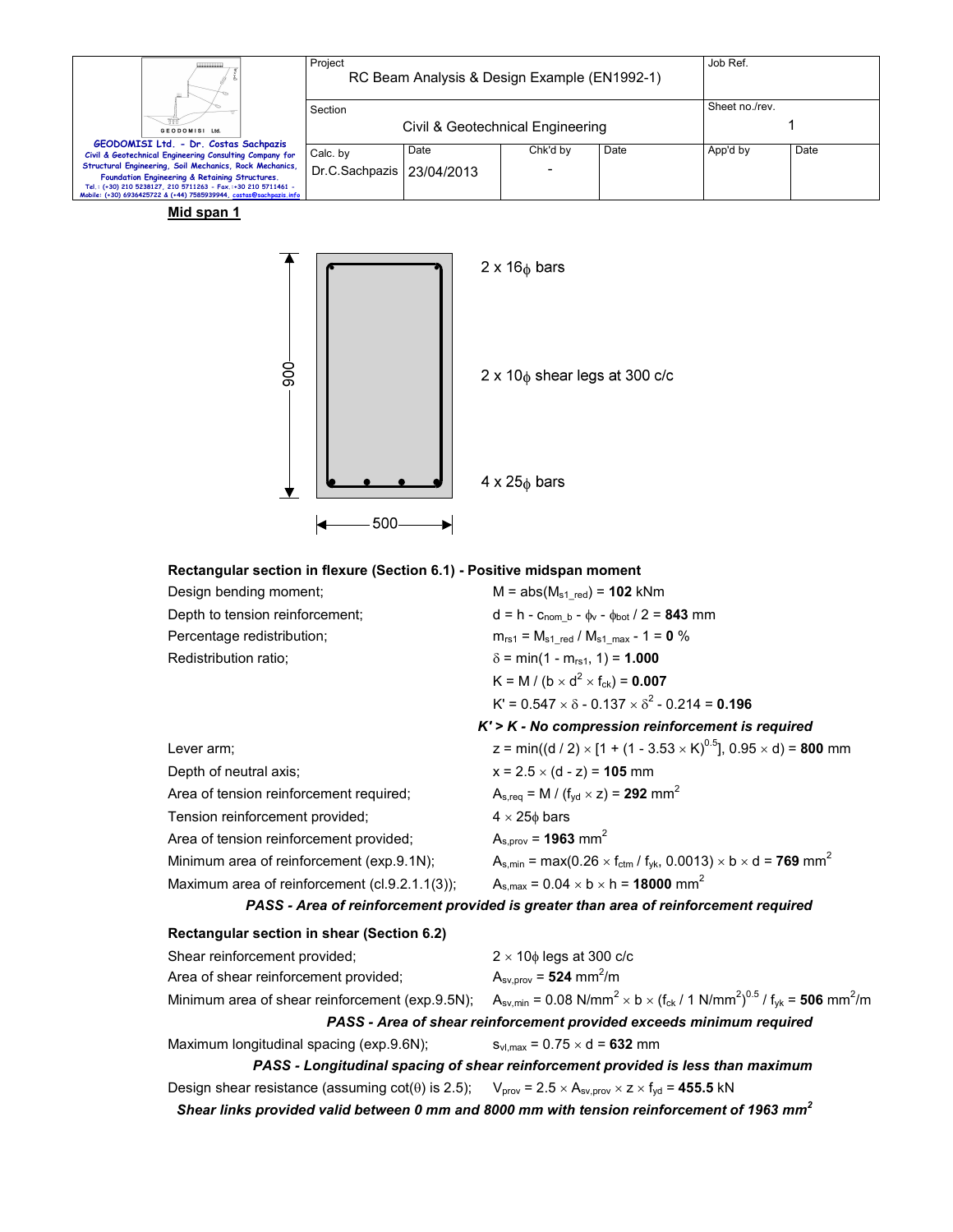| Ш.                                                                                                                                                                                                                                               | Project<br>RC Beam Analysis & Design Example (EN1992-1) |      |          |      | Job Ref.       |      |
|--------------------------------------------------------------------------------------------------------------------------------------------------------------------------------------------------------------------------------------------------|---------------------------------------------------------|------|----------|------|----------------|------|
| GEODOMISI Ltd.                                                                                                                                                                                                                                   | Section<br>Civil & Geotechnical Engineering             |      |          |      | Sheet no./rev. |      |
| GEODOMISI Ltd. - Dr. Costas Sachpazis<br>Civil & Geotechnical Engineering Consulting Company for                                                                                                                                                 | Calc. by                                                | Date | Chk'd by | Date | App'd by       | Date |
| Structural Engineering, Soil Mechanics, Rock Mechanics,<br>Foundation Engineering & Retaining Structures.<br>Tel.: (+30) 210 5238127, 210 5711263 - Fax.:+30 210 5711461 -<br>Mobile: (+30) 6936425722 & (+44) 7585939944, costas@sachpazis.info | Dr.C.Sachpazis   23/04/2013                             |      | -        |      |                |      |

**Mid span 1**



# **Rectangular section in flexure (Section 6.1) - Positive midspan moment**

| Design bending moment;                         | $M = abs(M_{s1 \text{ red}}) = 102 \text{ kNm}$                                                                                 |
|------------------------------------------------|---------------------------------------------------------------------------------------------------------------------------------|
| Depth to tension reinforcement;                | $d = h - c_{\text{nom } b} - \phi_v - \phi_{\text{bot}} / 2 = 843$ mm                                                           |
| Percentage redistribution;                     | $m_{rs1} = M_{s1 \text{ red}} / M_{s1 \text{ max}} - 1 = 0$ %                                                                   |
| Redistribution ratio:                          | $\delta$ = min(1 - m <sub>rs1</sub> , 1) = <b>1.000</b>                                                                         |
|                                                | K = M / (b × d <sup>2</sup> × f <sub>ck</sub> ) = <b>0.007</b>                                                                  |
|                                                | $K' = 0.547 \times \delta - 0.137 \times \delta^2 - 0.214 = 0.196$                                                              |
|                                                | $K'$ > $K$ - No compression reinforcement is required                                                                           |
| Lever arm;                                     | z = min((d / 2) $\times$ [1 + (1 - 3.53 $\times$ K) <sup>0.5</sup> ], 0.95 $\times$ d) = <b>800</b> mm                          |
| Depth of neutral axis;                         | $x = 2.5 \times (d - z) = 105$ mm                                                                                               |
| Area of tension reinforcement required;        | $A_{s,req} = M / (f_{vd} \times z) = 292$ mm <sup>2</sup>                                                                       |
| Tension reinforcement provided;                | $4 \times 25\phi$ bars                                                                                                          |
| Area of tension reinforcement provided;        | $A_{s.prov} = 1963$ mm <sup>2</sup>                                                                                             |
| Minimum area of reinforcement (exp.9.1N);      | $A_{s,min}$ = max(0.26 $\times$ f <sub>ctm</sub> / f <sub>vk</sub> , 0.0013) $\times$ b $\times$ d = <b>769</b> mm <sup>2</sup> |
| Maximum area of reinforcement (cl.9.2.1.1(3)); | $A_{s,max} = 0.04 \times b \times h = 18000$ mm <sup>2</sup>                                                                    |
|                                                | PASS - Area of reinforcement provided is greater than area of reinforcement required                                            |

| Rectangular section in shear (Section 6.2)                                                                                                                    |                                                                                                                                                |
|---------------------------------------------------------------------------------------------------------------------------------------------------------------|------------------------------------------------------------------------------------------------------------------------------------------------|
| Shear reinforcement provided;                                                                                                                                 | $2 \times 10\phi$ legs at 300 c/c                                                                                                              |
| Area of shear reinforcement provided;                                                                                                                         | $A_{\text{sv.prov}} = 524 \text{ mm}^2/\text{m}$                                                                                               |
| Minimum area of shear reinforcement (exp.9.5N);                                                                                                               | $A_{\text{sv,min}} = 0.08 \text{ N/mm}^2 \times b \times (f_{\text{ck}} / 1 \text{ N/mm}^2)^{0.5} / f_{\text{vk}} = 506 \text{ mm}^2/\text{m}$ |
|                                                                                                                                                               | PASS - Area of shear reinforcement provided exceeds minimum required                                                                           |
| Maximum longitudinal spacing (exp.9.6N);                                                                                                                      | $S_{\text{V1 max}} = 0.75 \times d = 632$ mm                                                                                                   |
|                                                                                                                                                               | PASS - Longitudinal spacing of shear reinforcement provided is less than maximum                                                               |
| Design shear resistance (assuming cot( $\theta$ ) is 2.5); $V_{\text{prov}} = 2.5 \times A_{\text{sv,prov}} \times z \times f_{\text{yd}} = 455.5 \text{ kN}$ |                                                                                                                                                |
|                                                                                                                                                               | Shear links provided valid between 0 mm and 8000 mm with tension reinforcement of 1963 mm <sup>2</sup>                                         |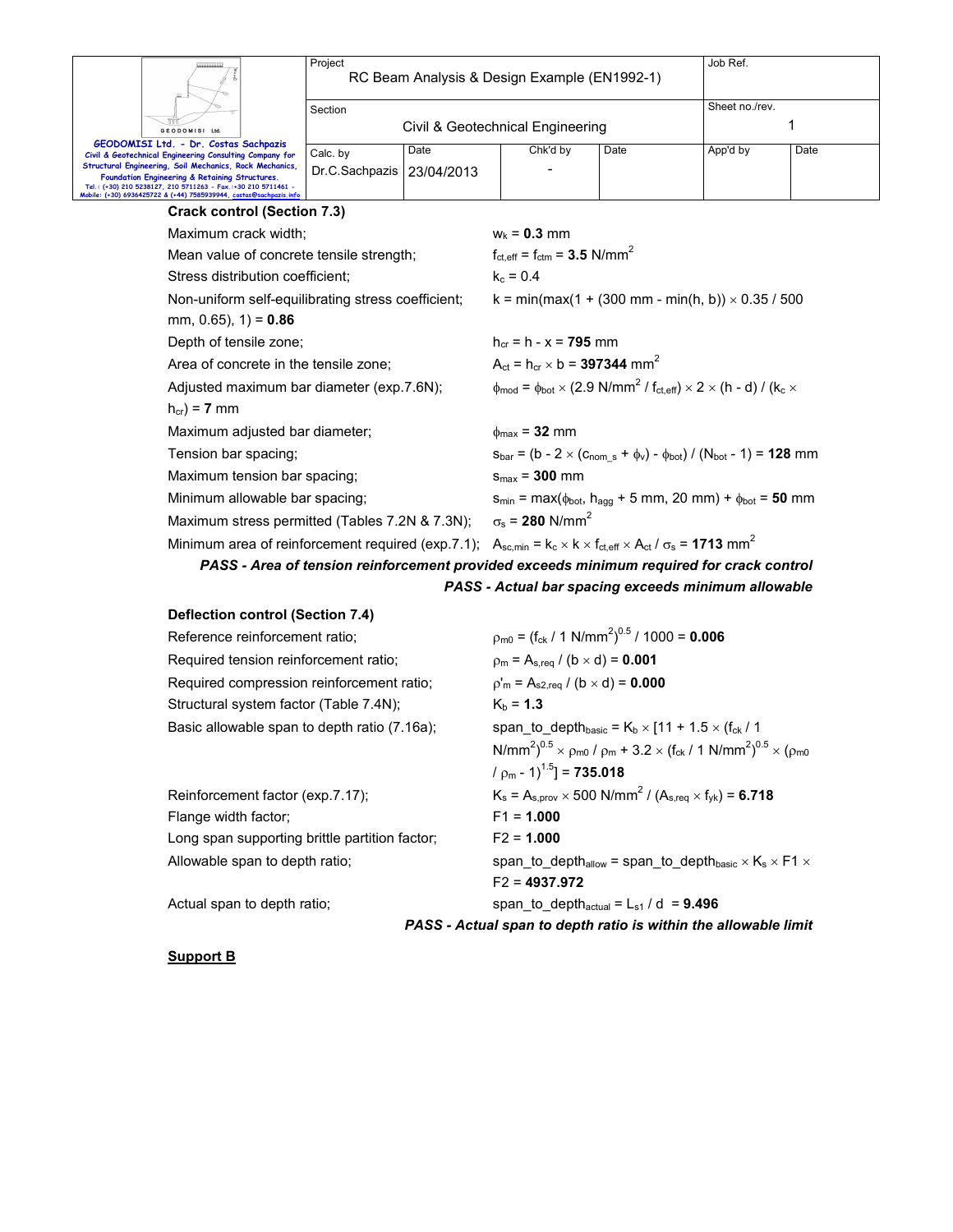| Ш                                                                                                                                                                                                                                                | Project                     | RC Beam Analysis & Design Example (EN1992-1) |          |      | Job Ref.       |      |
|--------------------------------------------------------------------------------------------------------------------------------------------------------------------------------------------------------------------------------------------------|-----------------------------|----------------------------------------------|----------|------|----------------|------|
| <b>GEODOMISI Ltd.</b>                                                                                                                                                                                                                            | Section                     | Civil & Geotechnical Engineering             |          |      | Sheet no./rev. |      |
| GEODOMISI Ltd. - Dr. Costas Sachpazis<br>Civil & Geotechnical Engineering Consulting Company for                                                                                                                                                 | Calc. by                    | Date                                         | Chk'd by | Date | App'd by       | Date |
| Structural Engineering, Soil Mechanics, Rock Mechanics,<br>Foundation Engineering & Retaining Structures.<br>Tel.: (+30) 210 5238127, 210 5711263 - Fax.:+30 210 5711461 -<br>Mobile: (+30) 6936425722 & (+44) 7585939944, costas@sachpazis.info | Dr.C.Sachpazis   23/04/2013 |                                              |          |      |                |      |
| $Q$ is also a sinteral $(Q_{n+1} _{n+1} \nabla Q)$                                                                                                                                                                                               |                             |                                              |          |      |                |      |

| <b>Crack control (Section 7.3)</b>                                                                                                         |                                                                                                                                                                   |
|--------------------------------------------------------------------------------------------------------------------------------------------|-------------------------------------------------------------------------------------------------------------------------------------------------------------------|
| Maximum crack width:                                                                                                                       | $W_k = 0.3$ mm                                                                                                                                                    |
| Mean value of concrete tensile strength;                                                                                                   | $f_{\text{ct.eff}} = f_{\text{ctm}} = 3.5 \text{ N/mm}^2$                                                                                                         |
| Stress distribution coefficient:                                                                                                           | $k_c = 0.4$                                                                                                                                                       |
| Non-uniform self-equilibrating stress coefficient;                                                                                         | k = min(max(1 + (300 mm - min(h, b)) $\times$ 0.35 / 500                                                                                                          |
| mm, $0.65$ ), $1$ ) = 0.86                                                                                                                 |                                                                                                                                                                   |
| Depth of tensile zone;                                                                                                                     | $h_{cr} = h - x = 795$ mm                                                                                                                                         |
| Area of concrete in the tensile zone;                                                                                                      | $A_{\rm ct} = h_{\rm cr} \times b = 397344$ mm <sup>2</sup>                                                                                                       |
| Adjusted maximum bar diameter (exp.7.6N);                                                                                                  | $\phi_{\text{mod}} = \phi_{\text{bot}} \times (2.9 \text{ N/mm}^2 / \text{ f}_{\text{ct,eff}}) \times 2 \times (\text{h} - \text{d}) / (\text{k}_\text{c} \times$ |
| $h_{cr}$ ) = 7 mm                                                                                                                          |                                                                                                                                                                   |
| Maximum adjusted bar diameter;                                                                                                             | $\phi_{\text{max}}$ = 32 mm                                                                                                                                       |
| Tension bar spacing;                                                                                                                       | $S_{bar} = (b - 2 \times (C_{nom s} + \phi_v) - \phi_{bot}) / (N_{bot} - 1) = 128$ mm                                                                             |
| Maximum tension bar spacing;                                                                                                               | $s_{max}$ = 300 mm                                                                                                                                                |
| Minimum allowable bar spacing;                                                                                                             | $s_{min} = max(\phi_{bot}, h_{agg} + 5$ mm, 20 mm) + $\phi_{bot} = 50$ mm                                                                                         |
| Maximum stress permitted (Tables 7.2N & 7.3N);                                                                                             | $\sigma_s$ = 280 N/mm <sup>2</sup>                                                                                                                                |
| Minimum area of reinforcement required (exp.7.1); $A_{sc,min} = k_c \times k \times f_{ct,eff} \times A_{ct}/\sigma_s = 1713 \text{ mm}^2$ |                                                                                                                                                                   |
|                                                                                                                                            | PASS - Area of tension reinforcement provided exceeds minimum required for crack control                                                                          |

*PASS - Actual bar spacing exceeds minimum allowable*

| <b>Deflection control (Section 7.4)</b>        |                                                                                                                                             |
|------------------------------------------------|---------------------------------------------------------------------------------------------------------------------------------------------|
| Reference reinforcement ratio;                 | $\rho_{\rm m0}$ = (f <sub>ck</sub> / 1 N/mm <sup>2</sup> ) <sup>0.5</sup> / 1000 = <b>0.006</b>                                             |
| Required tension reinforcement ratio;          | $p_m = A_{s,req} / (b \times d) = 0.001$                                                                                                    |
| Required compression reinforcement ratio;      | $p'_m = A_{s2,req} / (b \times d) = 0.000$                                                                                                  |
| Structural system factor (Table 7.4N);         | $K_b = 1.3$                                                                                                                                 |
| Basic allowable span to depth ratio (7.16a);   | span to depth <sub>basic</sub> = $K_b \times$ [11 + 1.5 $\times$ (f <sub>ck</sub> / 1                                                       |
|                                                | N/mm <sup>2</sup> ) <sup>0.5</sup> × $\rho_{m0}$ / $\rho_m$ + 3.2 × (f <sub>ck</sub> / 1 N/mm <sup>2</sup> ) <sup>0.5</sup> × ( $\rho_{m0}$ |
|                                                | $/ p_m - 1$ <sup>1.5</sup> ] = <b>735.018</b>                                                                                               |
| Reinforcement factor (exp.7.17);               | $K_s = A_{s,prov} \times 500 \text{ N/mm}^2 / (A_{s,req} \times f_{vk}) = 6.718$                                                            |
| Flange width factor;                           | $F1 = 1.000$                                                                                                                                |
| Long span supporting brittle partition factor; | $F2 = 1.000$                                                                                                                                |
| Allowable span to depth ratio;                 | span_to_depth <sub>allow</sub> = span_to_depth <sub>basic</sub> $\times$ K <sub>s</sub> $\times$ F1 $\times$                                |
|                                                | $F2 = 4937.972$                                                                                                                             |
| Actual span to depth ratio;                    | span to depth <sub>actual</sub> = $L_{s1}$ / d = <b>9.496</b>                                                                               |

*PASS - Actual span to depth ratio is within the allowable limit* 

**Support B**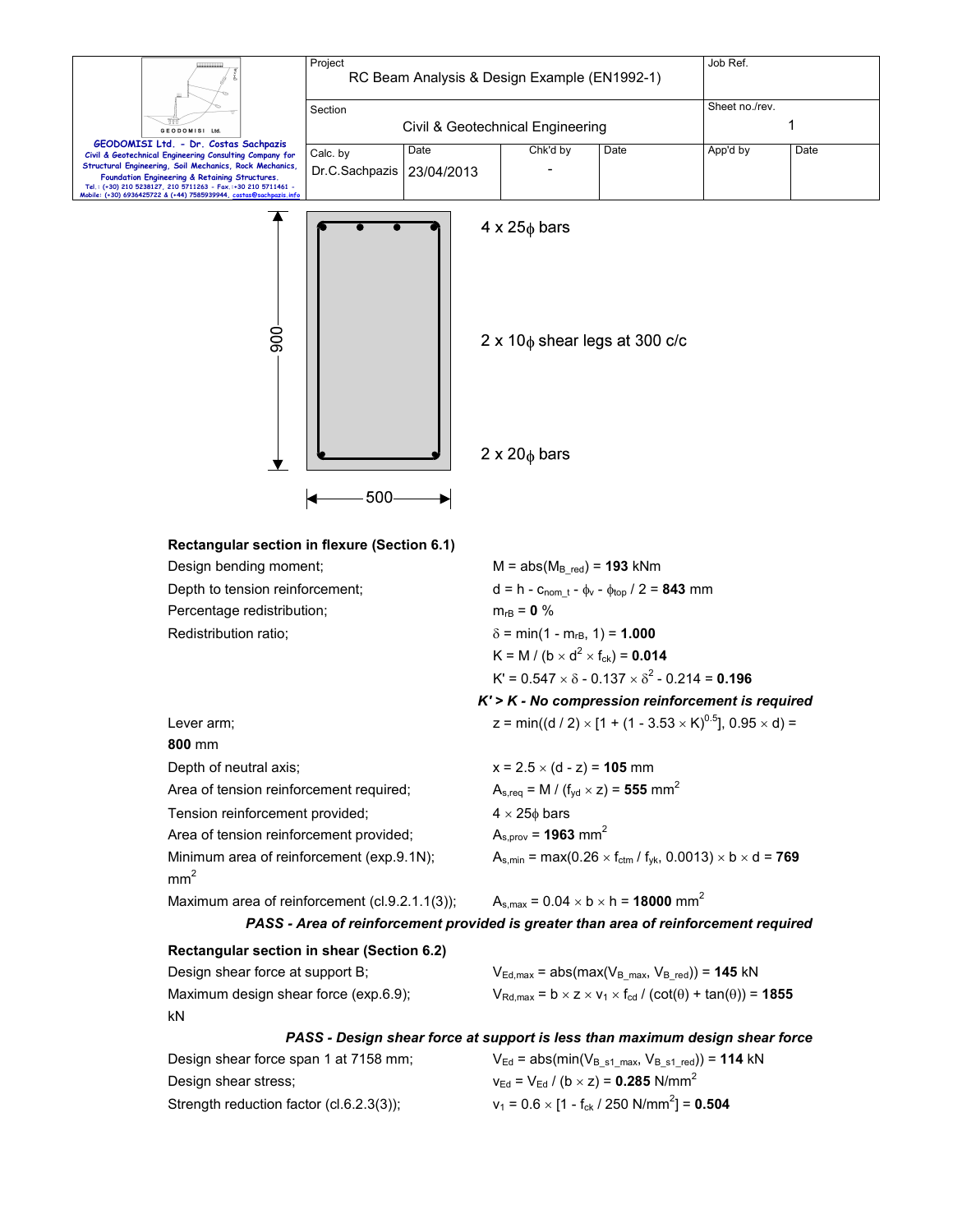|                                                                                                                                          | Project                                                                              |            | RC Beam Analysis & Design Example (EN1992-1)                                                                                           |                                                                                                                     | Job Ref.       |      |  |
|------------------------------------------------------------------------------------------------------------------------------------------|--------------------------------------------------------------------------------------|------------|----------------------------------------------------------------------------------------------------------------------------------------|---------------------------------------------------------------------------------------------------------------------|----------------|------|--|
|                                                                                                                                          | Section                                                                              |            |                                                                                                                                        |                                                                                                                     | Sheet no./rev. |      |  |
| GEODOMISI Ltd                                                                                                                            |                                                                                      |            | Civil & Geotechnical Engineering                                                                                                       |                                                                                                                     |                | 1    |  |
| GEODOMISI Ltd. - Dr. Costas Sachpazis<br>Civil & Geotechnical Engineering Consulting Company for                                         | Calc. by                                                                             | Date       | Chk'd by                                                                                                                               | Date                                                                                                                | App'd by       | Date |  |
| Structural Engineering, Soil Mechanics, Rock Mechanics,<br>Foundation Engineering & Retaining Structures.                                | Dr.C.Sachpazis                                                                       | 23/04/2013 |                                                                                                                                        |                                                                                                                     |                |      |  |
| Tel.: (+30) 210 5238127, 210 5711263 - Fax.:+30 210 5711461 -<br>Mobile: (+30) 6936425722 & (+44) 7585939944, costas <mark>@sachp</mark> |                                                                                      |            |                                                                                                                                        |                                                                                                                     |                |      |  |
| 900                                                                                                                                      | 500                                                                                  |            | $4 \times 25\phi$ bars<br>$2 \times 20$ bars                                                                                           | $2 \times 10$ <sub><math>\phi</math></sub> shear legs at 300 c/c                                                    |                |      |  |
| Rectangular section in flexure (Section 6.1)<br>Design bending moment;<br>Depth to tension reinforcement;                                |                                                                                      |            | $M = abs(MB red) = 193$ kNm                                                                                                            | $d = h - c_{\text{nom }t} - \phi_v - \phi_{\text{top}} / 2 = 843$ mm                                                |                |      |  |
| Percentage redistribution;                                                                                                               |                                                                                      |            | $m_{rB} = 0 \%$                                                                                                                        |                                                                                                                     |                |      |  |
| Redistribution ratio;                                                                                                                    |                                                                                      |            | $\delta$ = min(1 - m <sub>rB</sub> , 1) = <b>1.000</b><br>K = M / (b $\times$ d <sup>2</sup> $\times$ f <sub>ck</sub> ) = <b>0.014</b> |                                                                                                                     |                |      |  |
|                                                                                                                                          |                                                                                      |            |                                                                                                                                        |                                                                                                                     |                |      |  |
|                                                                                                                                          |                                                                                      |            |                                                                                                                                        | $K' = 0.547 \times \delta - 0.137 \times \delta^2 - 0.214 = 0.196$                                                  |                |      |  |
|                                                                                                                                          |                                                                                      |            |                                                                                                                                        | $K'$ > $K$ - No compression reinforcement is required                                                               |                |      |  |
| Lever arm;                                                                                                                               |                                                                                      |            |                                                                                                                                        | z = min((d / 2) × [1 + (1 - 3.53 × K) <sup>0.5</sup> ], 0.95 × d) =                                                 |                |      |  |
| 800 mm                                                                                                                                   |                                                                                      |            |                                                                                                                                        |                                                                                                                     |                |      |  |
| Depth of neutral axis;<br>Area of tension reinforcement required;                                                                        |                                                                                      |            | $x = 2.5 \times (d - z) = 105$ mm                                                                                                      | $A_{s,req} = M / (f_{yd} \times z) = 555$ mm <sup>2</sup>                                                           |                |      |  |
| Tension reinforcement provided;                                                                                                          |                                                                                      |            | $4 \times 25\phi$ bars                                                                                                                 |                                                                                                                     |                |      |  |
| Area of tension reinforcement provided;                                                                                                  |                                                                                      |            | $A_{s,prov} = 1963$ mm <sup>2</sup>                                                                                                    |                                                                                                                     |                |      |  |
| Minimum area of reinforcement (exp.9.1N);                                                                                                |                                                                                      |            |                                                                                                                                        | $A_{s,min} = max(0.26 \times f_{ctm} / f_{yk}, 0.0013) \times b \times d = 769$                                     |                |      |  |
| mm <sup>2</sup>                                                                                                                          |                                                                                      |            |                                                                                                                                        |                                                                                                                     |                |      |  |
| Maximum area of reinforcement (cl.9.2.1.1(3));                                                                                           |                                                                                      |            |                                                                                                                                        | $A_{s,max} = 0.04 \times b \times h = 18000$ mm <sup>2</sup>                                                        |                |      |  |
|                                                                                                                                          | PASS - Area of reinforcement provided is greater than area of reinforcement required |            |                                                                                                                                        |                                                                                                                     |                |      |  |
| Rectangular section in shear (Section 6.2)                                                                                               |                                                                                      |            |                                                                                                                                        |                                                                                                                     |                |      |  |
| Design shear force at support B;                                                                                                         |                                                                                      |            |                                                                                                                                        | $V_{Ed,max}$ = abs(max( $V_{B,max}$ , $V_{B\_red}$ )) = 145 kN                                                      |                |      |  |
| Maximum design shear force (exp.6.9);                                                                                                    |                                                                                      |            |                                                                                                                                        | $V_{\text{Rd,max}} = b \times z \times v_1 \times f_{\text{cd}} / (\text{cot}(\theta) + \text{tan}(\theta)) = 1855$ |                |      |  |
| kN                                                                                                                                       |                                                                                      |            |                                                                                                                                        |                                                                                                                     |                |      |  |
|                                                                                                                                          | PASS - Design shear force at support is less than maximum design shear force         |            |                                                                                                                                        |                                                                                                                     |                |      |  |
| Design shear force span 1 at 7158 mm;                                                                                                    |                                                                                      |            |                                                                                                                                        | $V_{Ed}$ = abs(min( $V_{B_s1\_max}$ , $V_{B_s1\_red}$ )) = 114 kN                                                   |                |      |  |
| Design shear stress;                                                                                                                     |                                                                                      |            |                                                                                                                                        | $v_{\text{Ed}} = V_{\text{Ed}} / (b \times z) = 0.285 \text{ N/mm}^2$                                               |                |      |  |
| Strength reduction factor (cl.6.2.3(3));                                                                                                 |                                                                                      |            |                                                                                                                                        | $v_1 = 0.6 \times [1 - f_{ck} / 250 \text{ N/mm}^2] = 0.504$                                                        |                |      |  |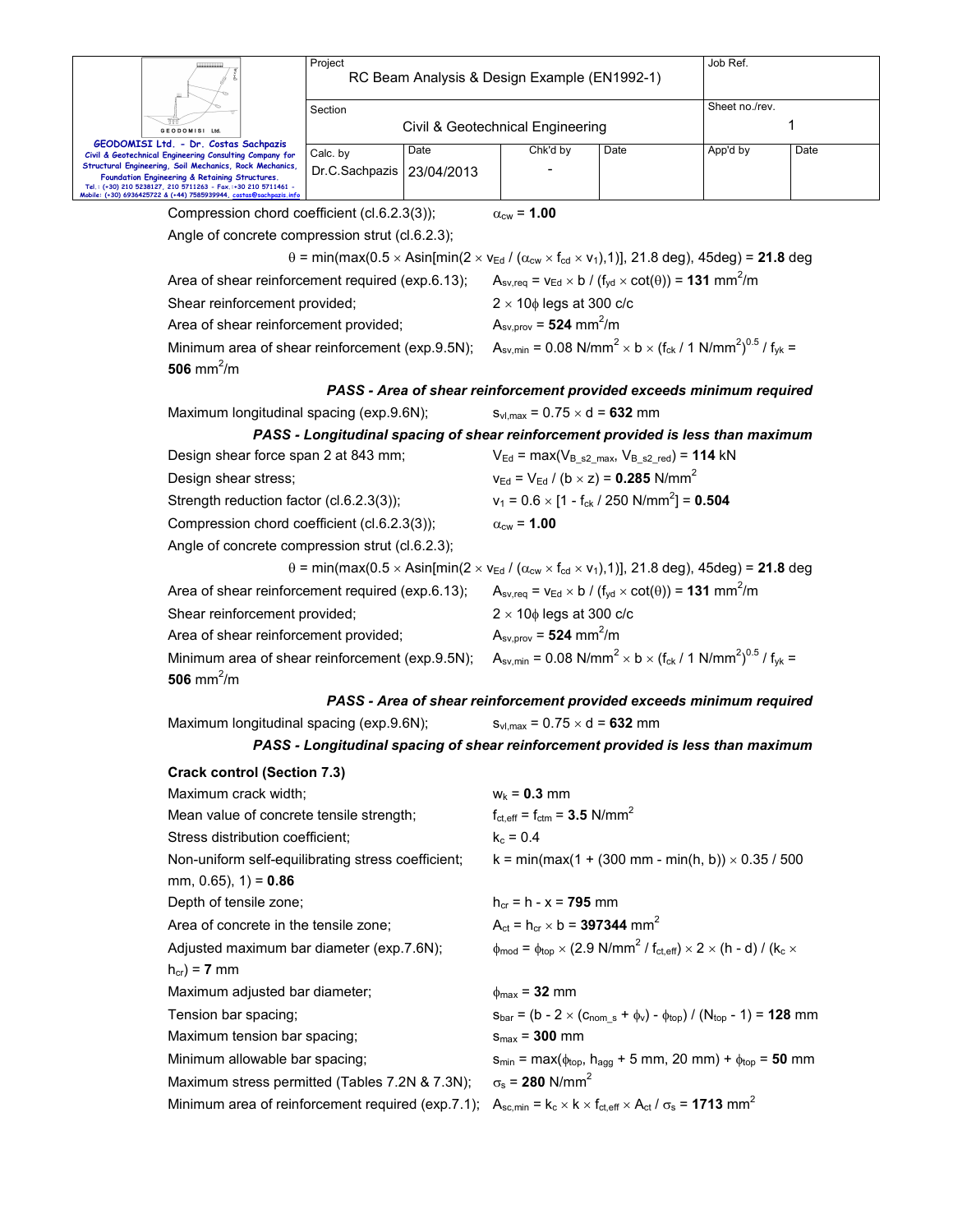|                                                                             |                                                                                                                                                                                       | Project<br>RC Beam Analysis & Design Example (EN1992-1) |            |                                                              |                                                                                                                                                                  | Job Ref.       |      |  |
|-----------------------------------------------------------------------------|---------------------------------------------------------------------------------------------------------------------------------------------------------------------------------------|---------------------------------------------------------|------------|--------------------------------------------------------------|------------------------------------------------------------------------------------------------------------------------------------------------------------------|----------------|------|--|
|                                                                             |                                                                                                                                                                                       | Section                                                 |            |                                                              |                                                                                                                                                                  | Sheet no./rev. |      |  |
|                                                                             | GEODOMISI Ltd.                                                                                                                                                                        |                                                         |            | Civil & Geotechnical Engineering                             |                                                                                                                                                                  |                | 1    |  |
|                                                                             | GEODOMISI Ltd. - Dr. Costas Sachpazis<br>Civil & Geotechnical Engineering Consulting Company for                                                                                      | Date<br>Calc. by                                        |            | Chk'd by                                                     | Date                                                                                                                                                             | App'd by       | Date |  |
|                                                                             | Structural Engineering, Soil Mechanics, Rock Mechanics,                                                                                                                               | Dr.C.Sachpazis                                          | 23/04/2013 |                                                              |                                                                                                                                                                  |                |      |  |
|                                                                             | Foundation Engineering & Retaining Structures.<br>Tel.: (+30) 210 5238127, 210 5711263 - Fax.:+30 210 5711461 -<br>Mobile: (+30) 6936425722 & (+44) 7585939944, costas@sachpazis.info |                                                         |            |                                                              |                                                                                                                                                                  |                |      |  |
| Compression chord coefficient (cl.6.2.3(3));<br>$\alpha_{\text{cw}}$ = 1.00 |                                                                                                                                                                                       |                                                         |            |                                                              |                                                                                                                                                                  |                |      |  |
|                                                                             | Angle of concrete compression strut (cl.6.2.3);                                                                                                                                       |                                                         |            |                                                              |                                                                                                                                                                  |                |      |  |
|                                                                             |                                                                                                                                                                                       |                                                         |            |                                                              | $\theta$ = min(max(0.5 x Asin[min(2 x v <sub>Ed</sub> / ( $\alpha_{cw}$ x f <sub>cd</sub> x v <sub>1</sub> ), 1)], 21.8 deg), 45deg) = <b>21.8</b> deg           |                |      |  |
|                                                                             | Area of shear reinforcement required (exp.6.13);                                                                                                                                      |                                                         |            |                                                              | $A_{\text{sv,req}} = v_{\text{Ed}} \times b / (f_{\text{yd}} \times \text{cot}(\theta)) = 131 \text{ mm}^2/\text{m}$                                             |                |      |  |
|                                                                             | Shear reinforcement provided;                                                                                                                                                         |                                                         |            | $2 \times 10\phi$ legs at 300 c/c                            |                                                                                                                                                                  |                |      |  |
|                                                                             | Area of shear reinforcement provided;                                                                                                                                                 |                                                         |            | $A_{\text{sv,prov}} = 524 \text{ mm}^2/\text{m}$             |                                                                                                                                                                  |                |      |  |
|                                                                             | Minimum area of shear reinforcement (exp.9.5N);<br>506 mm <sup>2</sup> /m                                                                                                             |                                                         |            |                                                              | $A_{\text{sv,min}} = 0.08 \text{ N/mm}^2 \times b \times (f_{\text{ck}} / 1 \text{ N/mm}^2)^{0.5} / f_{\text{vk}} =$                                             |                |      |  |
|                                                                             |                                                                                                                                                                                       |                                                         |            |                                                              | PASS - Area of shear reinforcement provided exceeds minimum required                                                                                             |                |      |  |
|                                                                             | Maximum longitudinal spacing (exp.9.6N);                                                                                                                                              |                                                         |            | $s_{vl,max} = 0.75 \times d = 632$ mm                        |                                                                                                                                                                  |                |      |  |
|                                                                             |                                                                                                                                                                                       |                                                         |            |                                                              | PASS - Longitudinal spacing of shear reinforcement provided is less than maximum                                                                                 |                |      |  |
|                                                                             | Design shear force span 2 at 843 mm;                                                                                                                                                  |                                                         |            |                                                              | $V_{Ed}$ = max( $V_{B \text{ s2 max}}$ , $V_{B \text{ s2 red}}$ ) = 114 kN                                                                                       |                |      |  |
|                                                                             | Design shear stress;                                                                                                                                                                  |                                                         |            |                                                              | $v_{\text{Ed}} = V_{\text{Ed}} / (b \times z) = 0.285 \text{ N/mm}^2$                                                                                            |                |      |  |
|                                                                             | Strength reduction factor (cl.6.2.3(3));                                                                                                                                              |                                                         |            | $v_1 = 0.6 \times [1 - f_{ck} / 250 \text{ N/mm}^2] = 0.504$ |                                                                                                                                                                  |                |      |  |
|                                                                             | Compression chord coefficient (cl.6.2.3(3));                                                                                                                                          |                                                         |            | $\alpha_{\text{cw}}$ = 1.00                                  |                                                                                                                                                                  |                |      |  |
|                                                                             | Angle of concrete compression strut (cl.6.2.3);                                                                                                                                       |                                                         |            |                                                              |                                                                                                                                                                  |                |      |  |
|                                                                             |                                                                                                                                                                                       |                                                         |            |                                                              | $\theta$ = min(max(0.5 × Asin[min(2 × $v_{\text{Ed}}$ / ( $\alpha_{\text{cw}}$ × $f_{\text{cd}}$ × $v_1$ ), 1)], 21.8 deg), 45deg) = 21.8 deg                    |                |      |  |
|                                                                             | Area of shear reinforcement required (exp.6.13);                                                                                                                                      |                                                         |            |                                                              | $A_{\text{sv,req}} = v_{\text{Ed}} \times b / (f_{\text{yd}} \times \text{cot}(\theta)) = 131 \text{ mm}^2/\text{m}$                                             |                |      |  |
|                                                                             | Shear reinforcement provided;                                                                                                                                                         |                                                         |            | $2 \times 10\phi$ legs at 300 c/c                            |                                                                                                                                                                  |                |      |  |
|                                                                             | Area of shear reinforcement provided;                                                                                                                                                 |                                                         |            | $A_{\text{sv,prov}} = 524 \text{ mm}^2/\text{m}$             |                                                                                                                                                                  |                |      |  |
|                                                                             | Minimum area of shear reinforcement (exp.9.5N);                                                                                                                                       |                                                         |            |                                                              | $A_{\text{sv,min}} = 0.08 \text{ N/mm}^2 \times b \times (f_{\text{ck}} / 1 \text{ N/mm}^2)^{0.5} / f_{\text{vk}} =$                                             |                |      |  |
|                                                                             | 506 mm <sup>2</sup> /m                                                                                                                                                                |                                                         |            |                                                              |                                                                                                                                                                  |                |      |  |
|                                                                             |                                                                                                                                                                                       |                                                         |            |                                                              | PASS - Area of shear reinforcement provided exceeds minimum required                                                                                             |                |      |  |
|                                                                             | Maximum longitudinal spacing (exp.9.6N);                                                                                                                                              |                                                         |            | $s_{vl,max} = 0.75 \times d = 632$ mm                        |                                                                                                                                                                  |                |      |  |
|                                                                             |                                                                                                                                                                                       |                                                         |            |                                                              | PASS - Longitudinal spacing of shear reinforcement provided is less than maximum                                                                                 |                |      |  |
|                                                                             | <b>Crack control (Section 7.3)</b>                                                                                                                                                    |                                                         |            |                                                              |                                                                                                                                                                  |                |      |  |
|                                                                             | Maximum crack width;                                                                                                                                                                  |                                                         |            | $w_k = 0.3$ mm                                               |                                                                                                                                                                  |                |      |  |
|                                                                             | Mean value of concrete tensile strength;                                                                                                                                              |                                                         |            | $f_{\text{ct,eff}} = f_{\text{ctm}} = 3.5 \text{ N/mm}^2$    |                                                                                                                                                                  |                |      |  |
|                                                                             | Stress distribution coefficient;                                                                                                                                                      |                                                         |            | $k_c = 0.4$                                                  |                                                                                                                                                                  |                |      |  |
|                                                                             | Non-uniform self-equilibrating stress coefficient;                                                                                                                                    |                                                         |            |                                                              | k = min(max(1 + (300 mm - min(h, b)) $\times$ 0.35 / 500                                                                                                         |                |      |  |
|                                                                             | mm, 0.65), $1$ ) = 0.86                                                                                                                                                               |                                                         |            |                                                              |                                                                                                                                                                  |                |      |  |
|                                                                             | Depth of tensile zone;                                                                                                                                                                |                                                         |            | $h_{cr} = h - x = 795$ mm                                    |                                                                                                                                                                  |                |      |  |
|                                                                             | Area of concrete in the tensile zone;                                                                                                                                                 |                                                         |            | $A_{ct} = h_{cr} \times b = 397344$ mm <sup>2</sup>          |                                                                                                                                                                  |                |      |  |
|                                                                             | Adjusted maximum bar diameter (exp.7.6N);<br>$h_{cr}$ ) = 7 mm                                                                                                                        |                                                         |            |                                                              | $\phi_{\text{mod}} = \phi_{\text{top}} \times (2.9 \text{ N/mm}^2 / \text{f}_{\text{ct,eff}}) \times 2 \times (\text{h} - \text{d}) / (\text{k}_\text{c} \times$ |                |      |  |
|                                                                             | Maximum adjusted bar diameter;                                                                                                                                                        |                                                         |            | $\phi_{\text{max}}$ = 32 mm                                  |                                                                                                                                                                  |                |      |  |
|                                                                             | Tension bar spacing;                                                                                                                                                                  |                                                         |            |                                                              | $s_{bar} = (b - 2 \times (c_{nom s} + \phi_v) - \phi_{top}) / (N_{top} - 1) = 128$ mm                                                                            |                |      |  |
|                                                                             | Maximum tension bar spacing;                                                                                                                                                          |                                                         |            | $s_{max}$ = 300 mm                                           |                                                                                                                                                                  |                |      |  |
|                                                                             | Minimum allowable bar spacing;                                                                                                                                                        |                                                         |            |                                                              | $S_{min} = max(\phi_{top}, h_{agg} + 5$ mm, 20 mm) + $\phi_{top} = 50$ mm                                                                                        |                |      |  |
|                                                                             | Maximum stress permitted (Tables 7.2N & 7.3N);                                                                                                                                        |                                                         |            | $\sigma_s$ = 280 N/mm <sup>2</sup>                           |                                                                                                                                                                  |                |      |  |
|                                                                             | Minimum area of reinforcement required (exp.7.1);                                                                                                                                     |                                                         |            |                                                              | $A_{sc,min} = k_c \times k \times f_{ct,eff} \times A_{ct}/\sigma_s = 1713$ mm <sup>2</sup>                                                                      |                |      |  |
|                                                                             |                                                                                                                                                                                       |                                                         |            |                                                              |                                                                                                                                                                  |                |      |  |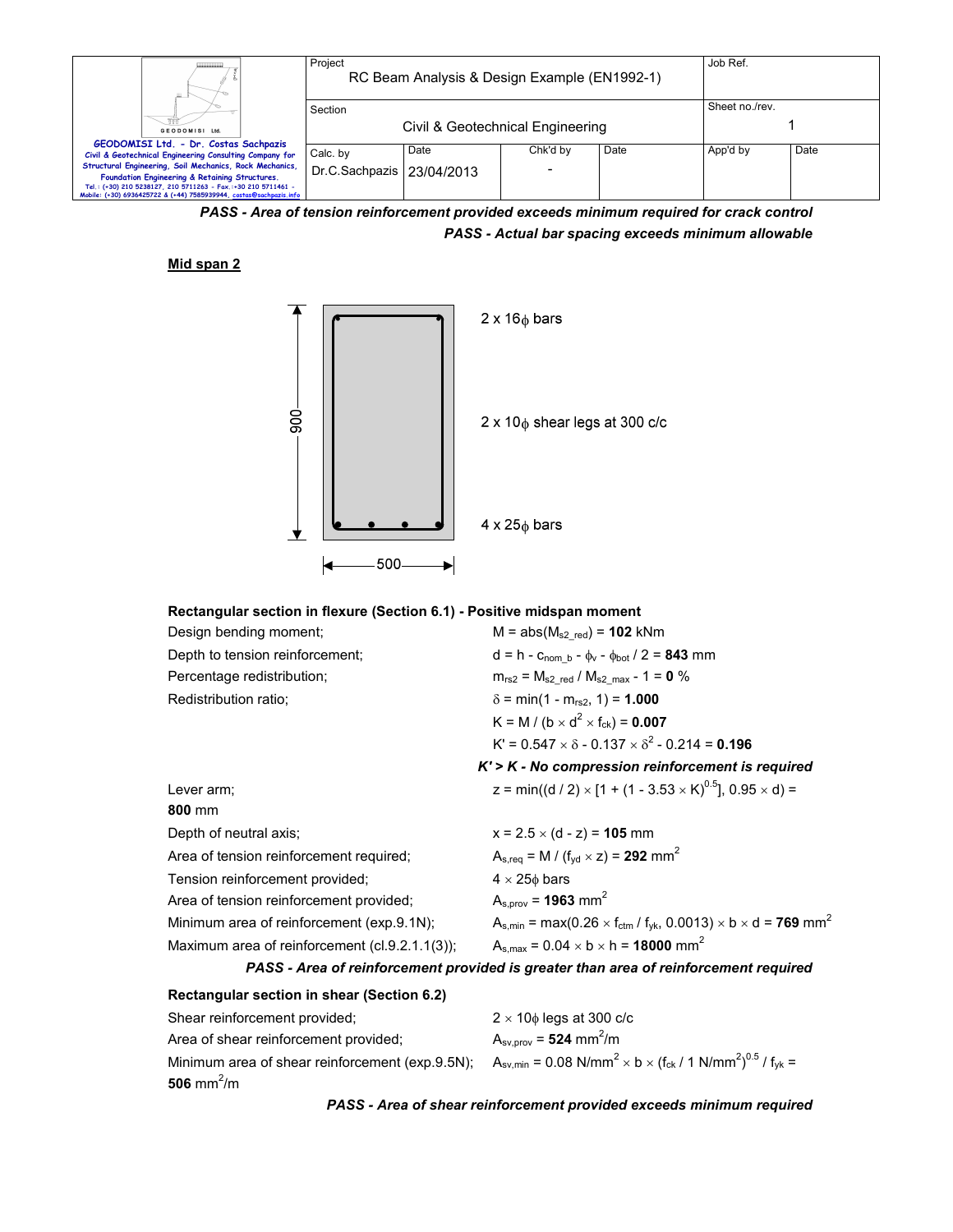| Ш.                                                                                                                                  | Project                     | RC Beam Analysis & Design Example (EN1992-1) |                          |      | Job Ref.       |      |
|-------------------------------------------------------------------------------------------------------------------------------------|-----------------------------|----------------------------------------------|--------------------------|------|----------------|------|
|                                                                                                                                     | Section                     |                                              |                          |      | Sheet no./rev. |      |
| GEODOMISI Ltd.                                                                                                                      |                             | Civil & Geotechnical Engineering             |                          |      |                |      |
| GEODOMISI Ltd. - Dr. Costas Sachpazis                                                                                               |                             |                                              |                          |      |                |      |
| Civil & Geotechnical Engineering Consulting Company for                                                                             | Calc. by                    | Date                                         | Chk'd by                 | Date | App'd by       | Date |
| Structural Engineering, Soil Mechanics, Rock Mechanics,<br>Foundation Engineering & Retaining Structures.                           | Dr.C.Sachpazis   23/04/2013 |                                              | $\overline{\phantom{0}}$ |      |                |      |
| Tel.: (+30) 210 5238127, 210 5711263 - Fax.:+30 210 5711461 -<br>Mobile: (+30) 6936425722 & (+44) 7585939944, costas@sachpazis.info |                             |                                              |                          |      |                |      |

*PASS - Area of tension reinforcement provided exceeds minimum required for crack control PASS - Actual bar spacing exceeds minimum allowable*

### **Mid span 2**



#### **Rectangular section in flexure (Section 6.1) - Positive midspan moment**

| Design bending moment;                         | $M = abs(M_{s2 \text{ red}}) = 102 \text{ kNm}$                                                                                 |
|------------------------------------------------|---------------------------------------------------------------------------------------------------------------------------------|
| Depth to tension reinforcement;                | $d = h - c_{\text{nom } b} - \phi_v - \phi_{\text{bot}} / 2 = 843$ mm                                                           |
| Percentage redistribution;                     | $m_{rs2} = M_{s2 \text{ red}} / M_{s2 \text{ max}} - 1 = 0 \%$                                                                  |
| Redistribution ratio;                          | $\delta$ = min(1 - m <sub>rs2</sub> , 1) = <b>1.000</b>                                                                         |
|                                                | K = M / (b $\times$ d <sup>2</sup> $\times$ f <sub>ck</sub> ) = <b>0.007</b>                                                    |
|                                                | $K' = 0.547 \times \delta - 0.137 \times \delta^2 - 0.214 = 0.196$                                                              |
|                                                | $K'$ > $K$ - No compression reinforcement is required                                                                           |
| Lever arm;                                     | z = min((d / 2) × [1 + (1 - 3.53 × K) <sup>0.5</sup> ], 0.95 × d) =                                                             |
| 800 mm                                         |                                                                                                                                 |
| Depth of neutral axis;                         | $x = 2.5 \times (d - z) = 105$ mm                                                                                               |
| Area of tension reinforcement required;        | $A_{s,req} = M / (f_{yd} \times z) = 292$ mm <sup>2</sup>                                                                       |
| Tension reinforcement provided;                | $4 \times 25\phi$ bars                                                                                                          |
| Area of tension reinforcement provided;        | $A_{s.prov} = 1963$ mm <sup>2</sup>                                                                                             |
| Minimum area of reinforcement (exp.9.1N);      | $A_{s,min}$ = max(0.26 $\times$ f <sub>ctm</sub> / f <sub>yk</sub> , 0.0013) $\times$ b $\times$ d = <b>769</b> mm <sup>2</sup> |
| Maximum area of reinforcement (cl.9.2.1.1(3)); | $A_{s,max} = 0.04 \times b \times h = 18000$ mm <sup>2</sup>                                                                    |
|                                                | PASS, Area of reinforcement provided is greater than area of reinforcement required                                             |

# *PASS - Area of reinforcement provided is greater than area of reinforcement required*

| Rectangular section in shear (Section 6.2)      |                                                                                                                      |
|-------------------------------------------------|----------------------------------------------------------------------------------------------------------------------|
| Shear reinforcement provided;                   | $2 \times 10\phi$ legs at 300 c/c                                                                                    |
| Area of shear reinforcement provided;           | $A_{\text{sv.} \text{prov}} = 524 \text{ mm}^2/\text{m}$                                                             |
| Minimum area of shear reinforcement (exp.9.5N); | $A_{\text{sv,min}} = 0.08 \text{ N/mm}^2 \times b \times (f_{\text{ck}} / 1 \text{ N/mm}^2)^{0.5} / f_{\text{vk}} =$ |
| 506 mm <sup>2</sup> /m                          |                                                                                                                      |

*PASS - Area of shear reinforcement provided exceeds minimum required*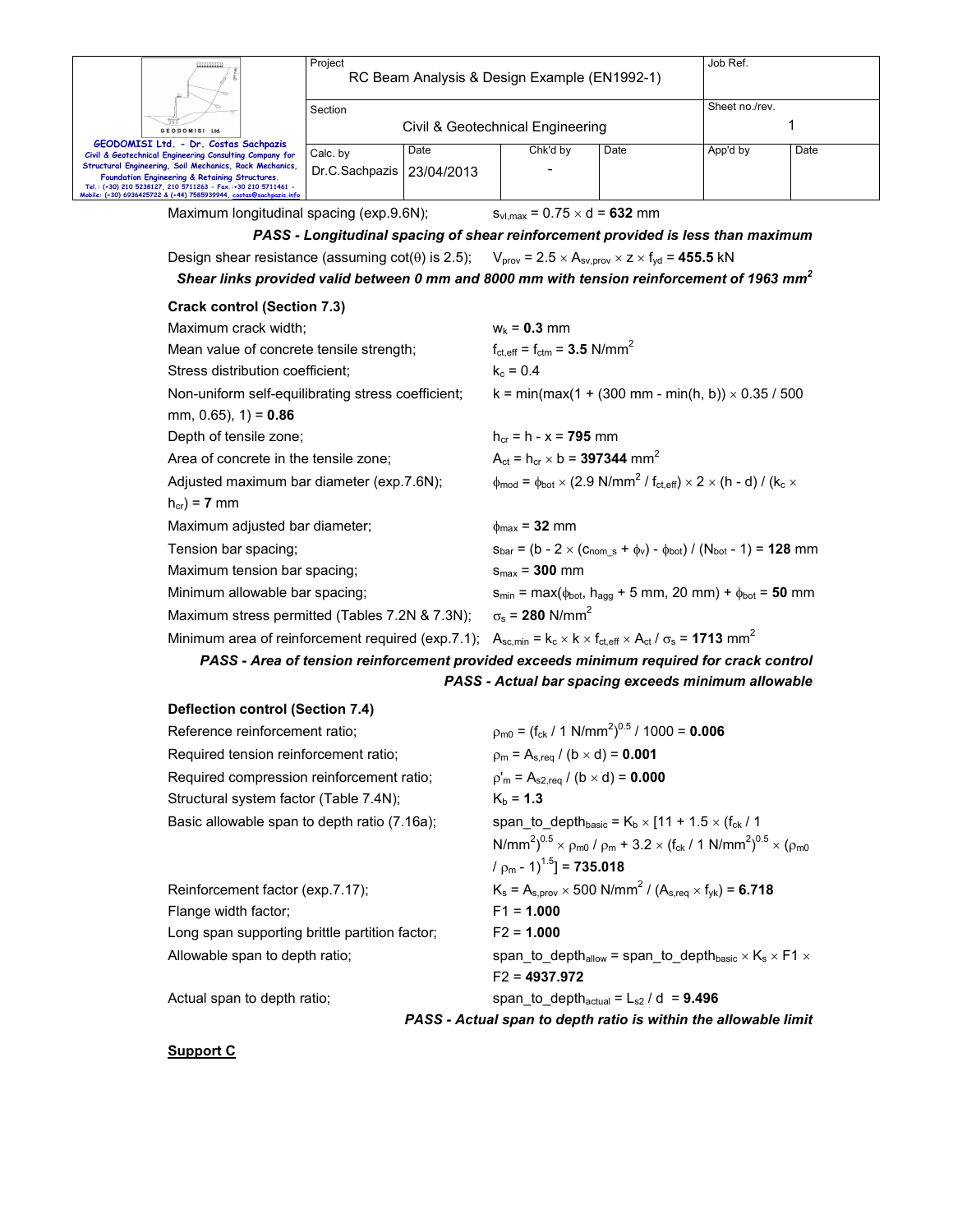| ш.                                                                                                                                  | Project<br>RC Beam Analysis & Design Example (EN1992-1) |      |                |      | Job Ref. |      |
|-------------------------------------------------------------------------------------------------------------------------------------|---------------------------------------------------------|------|----------------|------|----------|------|
|                                                                                                                                     | Section                                                 |      | Sheet no./rev. |      |          |      |
| GEODOMISI Ltd.                                                                                                                      | Civil & Geotechnical Engineering                        |      |                |      |          |      |
| GEODOMISI Ltd. - Dr. Costas Sachpazis                                                                                               |                                                         |      |                |      |          |      |
| Civil & Geotechnical Engineering Consulting Company for                                                                             | Calc. by                                                | Date | Chk'd by       | Date | App'd by | Date |
| Structural Engineering, Soil Mechanics, Rock Mechanics,<br>Foundation Engineering & Retaining Structures.                           | Dr.C.Sachpazis   23/04/2013                             |      |                |      |          |      |
| Tel.: (+30) 210 5238127, 210 5711263 - Fax.:+30 210 5711461 -<br>Mobile: (+30) 6936425722 & (+44) 7585939944, costas@sachpazis.info |                                                         |      |                |      |          |      |

Maximum longitudinal spacing (exp.9.6N);  $s_{vl,max} = 0.75 \times d = 632$  mm

*PASS - Longitudinal spacing of shear reinforcement provided is less than maximum*  Design shear resistance (assuming cot( $\theta$ ) is 2.5);  $V_{\text{prov}} = 2.5 \times A_{\text{sv,prov}} \times Z \times f_{\text{yd}} = 455.5 \text{ kN}$ 

*Shear links provided valid between 0 mm and 8000 mm with tension reinforcement of 1963 mm<sup>2</sup>*

| <b>Crack control (Section 7.3)</b>                 |                                                                                                                                                                   |
|----------------------------------------------------|-------------------------------------------------------------------------------------------------------------------------------------------------------------------|
| Maximum crack width;                               | $W_k = 0.3$ mm                                                                                                                                                    |
| Mean value of concrete tensile strength;           | $f_{\text{ct,eff}} = f_{\text{ctm}} = 3.5 \text{ N/mm}^2$                                                                                                         |
| Stress distribution coefficient:                   | $k_c = 0.4$                                                                                                                                                       |
| Non-uniform self-equilibrating stress coefficient; | k = min(max(1 + (300 mm - min(h, b)) $\times$ 0.35 / 500                                                                                                          |
| mm, 0.65), $1$ ) = 0.86                            |                                                                                                                                                                   |
| Depth of tensile zone;                             | $h_{cr} = h - x = 795$ mm                                                                                                                                         |
| Area of concrete in the tensile zone;              | $A_{\rm ct} = h_{\rm cr} \times b = 397344$ mm <sup>2</sup>                                                                                                       |
| Adjusted maximum bar diameter (exp.7.6N);          | $\phi_{\text{mod}} = \phi_{\text{bot}} \times (2.9 \text{ N/mm}^2 / \text{ f}_{\text{ct,eff}}) \times 2 \times (\text{h} - \text{d}) / (\text{k}_\text{c} \times$ |
| $h_{cr}$ ) = 7 mm                                  |                                                                                                                                                                   |
| Maximum adjusted bar diameter;                     | $\phi_{\text{max}}$ = 32 mm                                                                                                                                       |
| Tension bar spacing;                               | $S_{bar} = (b - 2 \times (c_{nom s} + \phi_v) - \phi_{bot}) / (N_{bot} - 1) = 128$ mm                                                                             |
| Maximum tension bar spacing;                       | $s_{max}$ = 300 mm                                                                                                                                                |
| Minimum allowable bar spacing;                     | $s_{min}$ = max( $\phi_{bot}$ , h <sub>agg</sub> + 5 mm, 20 mm) + $\phi_{bot}$ = 50 mm                                                                            |
| Maximum stress permitted (Tables 7.2N & 7.3N);     | $\sigma_s$ = 280 N/mm <sup>2</sup>                                                                                                                                |
| Minimum area of reinforcement required (exp.7.1);  | $A_{sc,min}$ = $k_c \times k \times f_{ct,eff} \times A_{ct} / \sigma_s$ = 1713 mm <sup>2</sup>                                                                   |

# *PASS - Area of tension reinforcement provided exceeds minimum required for crack control PASS - Actual bar spacing exceeds minimum allowable*

#### **Deflection control (Section 7.4)**

| Reference reinforcement ratio;                 | $\rho_{\text{m0}} = (f_{\text{ck}} / 1 \text{ N/mm}^2)^{0.5} / 1000 = 0.006$                                                                  |
|------------------------------------------------|-----------------------------------------------------------------------------------------------------------------------------------------------|
| Required tension reinforcement ratio;          | $\rho_m = A_{s,req} / (b \times d) = 0.001$                                                                                                   |
| Required compression reinforcement ratio;      | $p'_m = A_{s2,req} / (b \times d) = 0.000$                                                                                                    |
| Structural system factor (Table 7.4N);         | $K_h = 1.3$                                                                                                                                   |
| Basic allowable span to depth ratio (7.16a);   | span to depth <sub>basic</sub> = $K_b \times$ [11 + 1.5 $\times$ (f <sub>ck</sub> / 1                                                         |
|                                                | N/mm <sup>2</sup> ) <sup>0.5</sup> × $\rho_{m0}$ / $\rho_{m}$ + 3.2 × (f <sub>ck</sub> / 1 N/mm <sup>2</sup> ) <sup>0.5</sup> × ( $\rho_{m0}$ |
|                                                | $/ pm - 1$ <sup>1.5</sup> ] = <b>735.018</b>                                                                                                  |
| Reinforcement factor (exp.7.17);               | $K_s = A_{s,prov} \times 500 \text{ N/mm}^2 / (A_{s,req} \times f_{vk}) = 6.718$                                                              |
| Flange width factor;                           | $F1 = 1.000$                                                                                                                                  |
| Long span supporting brittle partition factor; | $F2 = 1.000$                                                                                                                                  |
| Allowable span to depth ratio;                 | span to depth <sub>allow</sub> = span to depth <sub>basic</sub> $\times$ K <sub>s</sub> $\times$ F1 $\times$                                  |
|                                                | $F2 = 4937.972$                                                                                                                               |
| Actual span to depth ratio;                    | span to depth <sub>actual</sub> = $L_{s2}$ / d = 9.496                                                                                        |

*PASS - Actual span to depth ratio is within the allowable limit* 

## **Support C**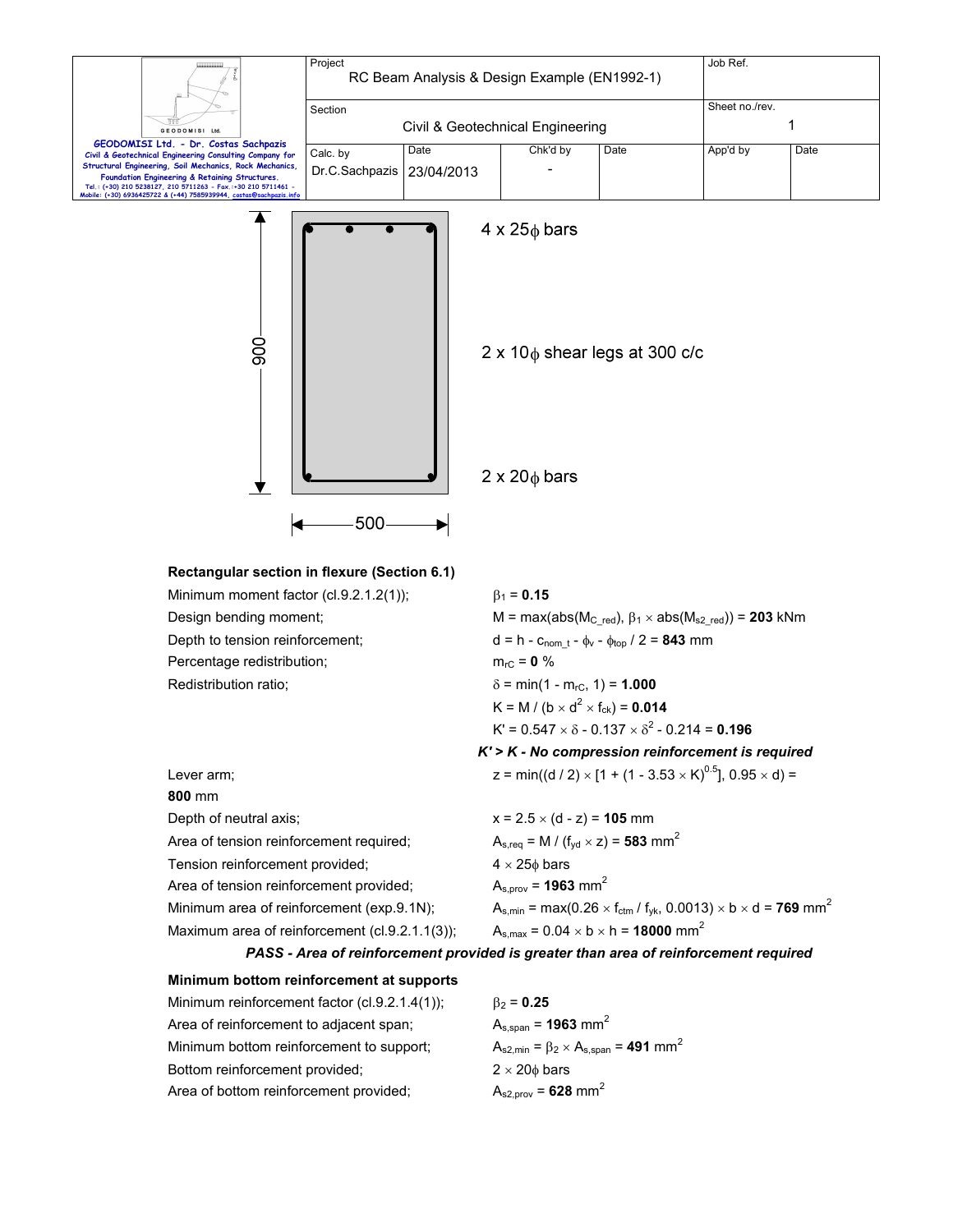| GEODOMISI Ltd.<br>GEODOMISI Ltd. - Dr. Costas Sachpazis<br>Civil & Geotechnical Engineering Consulting Company for<br>Structural Engineering, Soil Mechanics, Rock Mechanics,<br>Foundation Engineering & Retaining Structures.<br>Tel.: (+30) 210 5238127, 210 5711263 - Fax.:+30 210 5711461 -<br>Mobile: (+30) 6936425722 & (+44) 7585939944, costas@sachpazis.info | Project<br>RC Beam Analysis & Design Example (EN1992-1) |                    |                        | Job Ref.                                                         |          |      |
|------------------------------------------------------------------------------------------------------------------------------------------------------------------------------------------------------------------------------------------------------------------------------------------------------------------------------------------------------------------------|---------------------------------------------------------|--------------------|------------------------|------------------------------------------------------------------|----------|------|
|                                                                                                                                                                                                                                                                                                                                                                        | Section<br>Civil & Geotechnical Engineering             |                    |                        | Sheet no./rev.                                                   |          |      |
|                                                                                                                                                                                                                                                                                                                                                                        | Calc. by<br>Dr.C.Sachpazis                              | Date<br>23/04/2013 | Chk'd by               | Date                                                             | App'd by | Date |
|                                                                                                                                                                                                                                                                                                                                                                        |                                                         |                    | $4 \times 25\phi$ bars |                                                                  |          |      |
| 800                                                                                                                                                                                                                                                                                                                                                                    |                                                         |                    |                        | $2 \times 10$ <sub><math>\phi</math></sub> shear legs at 300 c/c |          |      |

 $2 \times 20\phi$  bars

**Rectangular section in flexure (Section 6.1)**  Minimum moment factor (cl.9.2.1.2(1));  $\beta_1 = 0.15$ Design bending moment;  $M = max(abs(M_{C_{red}}), β<sub>1</sub> × abs(M_{s2_{red}})) = 203$  kNm Depth to tension reinforcement;  $d = h - c_{\text{nom_t}} - \phi_v - \phi_{\text{top}} / 2 = 843 \text{ mm}$ Percentage redistribution;  $m_{rc} = 0 %$ Redistribution ratio;  $\delta = \min(1 - m_{rc}, 1) = 1.000$  $K = M / (b \times d^2 \times f_{ck}) = 0.014$  $K' = 0.547 \times \delta - 0.137 \times \delta^2 - 0.214 = 0.196$ *K' > K - No compression reinforcement is required*  Lever arm;  $z = min((d / 2) \times [1 + (1 - 3.53 \times K)^{0.5}], 0.95 \times d) =$ **800** mm Depth of neutral axis;  $x = 2.5 \times (d - z) = 105$  mm Area of tension reinforcement required;  $A_{s,req} = M / (f_{yd} \times z) = 583$  mm<sup>2</sup> Tension reinforcement provided;  $4 \times 25\phi$  bars Area of tension reinforcement provided;  $A_{s,prov} = 1963$  mm<sup>2</sup> Minimum area of reinforcement (exp.9.1N);  $A_{s,min} = max(0.26 \times f_{ctr} / f_{yk}, 0.0013) \times b \times d = 769$  mm<sup>2</sup>

Maximum area of reinforcement (cl.9.2.1.1(3));  $A_{s,max} = 0.04 \times b \times h = 18000$  mm<sup>2</sup>

 $-500$  –––

ଭ

 $\blacktriangleright$ 

*PASS - Area of reinforcement provided is greater than area of reinforcement required* 

#### **Minimum bottom reinforcement at supports**

| Minimum reinforcement factor $(cl.9.2.1.4(1))$ ; | $\beta_2 = 0.25$                                               |
|--------------------------------------------------|----------------------------------------------------------------|
| Area of reinforcement to adjacent span;          | $A_{s,span}$ = 1963 mm <sup>2</sup>                            |
| Minimum bottom reinforcement to support:         | $A_{s2,min} = \beta_2 \times A_{s,span} = 491$ mm <sup>2</sup> |
| Bottom reinforcement provided;                   | $2 \times 20$ bars                                             |
| Area of bottom reinforcement provided;           | $A_{s2,prov} = 628$ mm <sup>2</sup>                            |